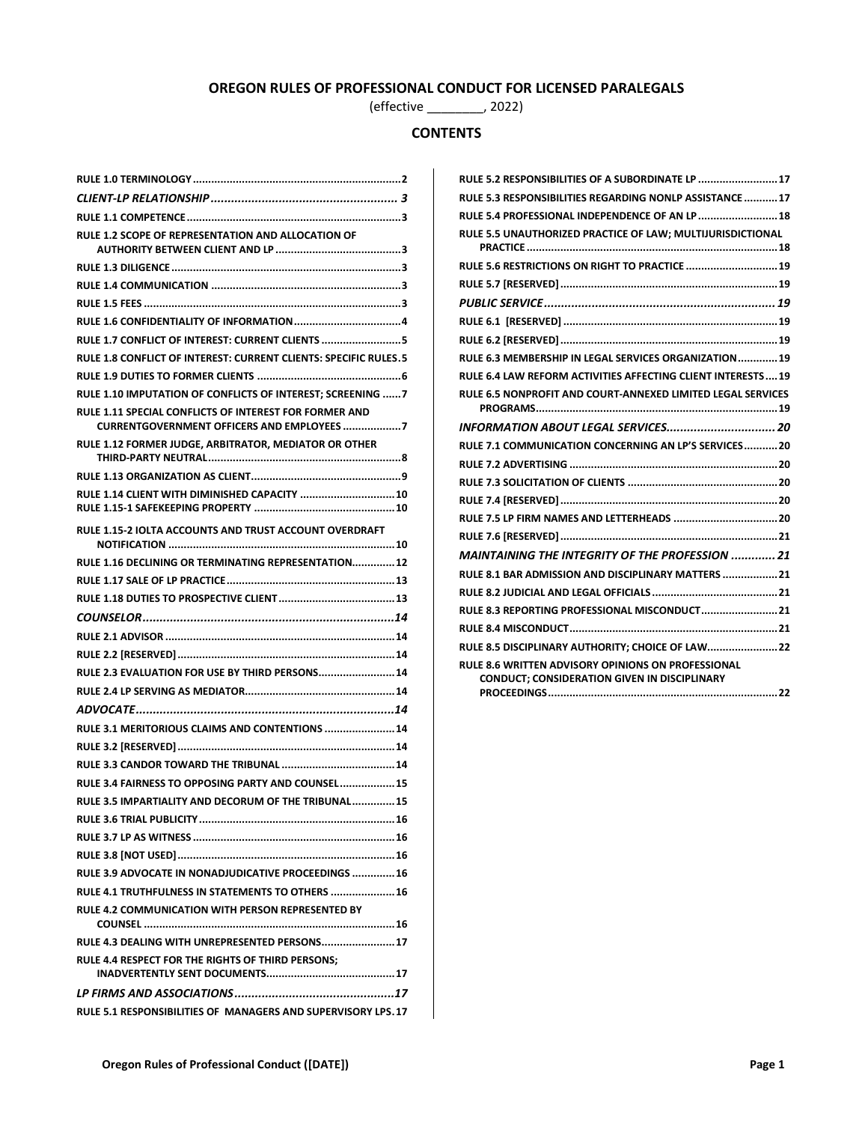# **OREGON RULES OF PROFESSIONAL CONDUCT FOR LICENSED PARALEGALS**

(effective \_\_\_\_\_\_\_\_, 2022)

# **CONTENTS**

| <b>RULE 1.2 SCOPE OF REPRESENTATION AND ALLOCATION OF</b>                                                   |
|-------------------------------------------------------------------------------------------------------------|
|                                                                                                             |
|                                                                                                             |
|                                                                                                             |
|                                                                                                             |
| RULE 1.7 CONFLICT OF INTEREST: CURRENT CLIENTS 5                                                            |
| RULE 1.8 CONFLICT OF INTEREST: CURRENT CLIENTS: SPECIFIC RULES.5                                            |
|                                                                                                             |
| RULE 1.10 IMPUTATION OF CONFLICTS OF INTEREST; SCREENING  7                                                 |
| RULE 1.11 SPECIAL CONFLICTS OF INTEREST FOR FORMER AND<br><b>CURRENTGOVERNMENT OFFICERS AND EMPLOYEES 7</b> |
| RULE 1.12 FORMER JUDGE, ARBITRATOR, MEDIATOR OR OTHER                                                       |
|                                                                                                             |
| RULE 1.14 CLIENT WITH DIMINISHED CAPACITY  10                                                               |
| RULE 1.15-2 IOLTA ACCOUNTS AND TRUST ACCOUNT OVERDRAFT                                                      |
| RULE 1.16 DECLINING OR TERMINATING REPRESENTATION 12                                                        |
|                                                                                                             |
|                                                                                                             |
|                                                                                                             |
|                                                                                                             |
|                                                                                                             |
|                                                                                                             |
| RULE 2.3 EVALUATION FOR USE BY THIRD PERSONS 14                                                             |
|                                                                                                             |
|                                                                                                             |
| RULE 3.1 MERITORIOUS CLAIMS AND CONTENTIONS  14                                                             |
|                                                                                                             |
|                                                                                                             |
| RULE 3.4 FAIRNESS TO OPPOSING PARTY AND COUNSEL 15                                                          |
| RULE 3.5 IMPARTIALITY AND DECORUM OF THE TRIBUNAL  15                                                       |
|                                                                                                             |
|                                                                                                             |
|                                                                                                             |
| RULE 3.9 ADVOCATE IN NONADJUDICATIVE PROCEEDINGS  16                                                        |
| RULE 4.1 TRUTHFULNESS IN STATEMENTS TO OTHERS  16                                                           |
| <b>RULE 4.2 COMMUNICATION WITH PERSON REPRESENTED BY</b>                                                    |
| RULE 4.3 DEALING WITH UNREPRESENTED PERSONS 17                                                              |
| <b>RULE 4.4 RESPECT FOR THE RIGHTS OF THIRD PERSONS:</b>                                                    |
|                                                                                                             |

| RULE 5.2 RESPONSIBILITIES OF A SUBORDINATE LP  17                                                                |
|------------------------------------------------------------------------------------------------------------------|
| RULE 5.3 RESPONSIBILITIES REGARDING NONLP ASSISTANCE17                                                           |
| RULE 5.4 PROFESSIONAL INDEPENDENCE OF AN LP  18                                                                  |
| RULE 5.5 UNAUTHORIZED PRACTICE OF LAW: MULTIJURISDICTIONAL                                                       |
|                                                                                                                  |
| RULE 5.6 RESTRICTIONS ON RIGHT TO PRACTICE  19                                                                   |
|                                                                                                                  |
|                                                                                                                  |
|                                                                                                                  |
|                                                                                                                  |
| RULE 6.3 MEMBERSHIP IN LEGAL SERVICES ORGANIZATION 19                                                            |
| RULE 6.4 LAW REFORM ACTIVITIES AFFECTING CLIENT INTERESTS19                                                      |
| RULE 6.5 NONPROFIT AND COURT-ANNEXED LIMITED LEGAL SERVICES                                                      |
| INFORMATION ABOUT LEGAL SERVICES 20                                                                              |
| RULE 7.1 COMMUNICATION CONCERNING AN LP'S SERVICES20                                                             |
|                                                                                                                  |
|                                                                                                                  |
|                                                                                                                  |
| RULE 7.5 LP FIRM NAMES AND LETTERHEADS  20                                                                       |
|                                                                                                                  |
| <b>MAINTAINING THE INTEGRITY OF THE PROFESSION  21</b>                                                           |
| RULE 8.1 BAR ADMISSION AND DISCIPLINARY MATTERS  21                                                              |
|                                                                                                                  |
| RULE 8.3 REPORTING PROFESSIONAL MISCONDUCT 21                                                                    |
|                                                                                                                  |
| RULE 8.5 DISCIPLINARY AUTHORITY; CHOICE OF LAW 22                                                                |
| <b>RULE 8.6 WRITTEN ADVISORY OPINIONS ON PROFESSIONAL</b><br><b>CONDUCT; CONSIDERATION GIVEN IN DISCIPLINARY</b> |
|                                                                                                                  |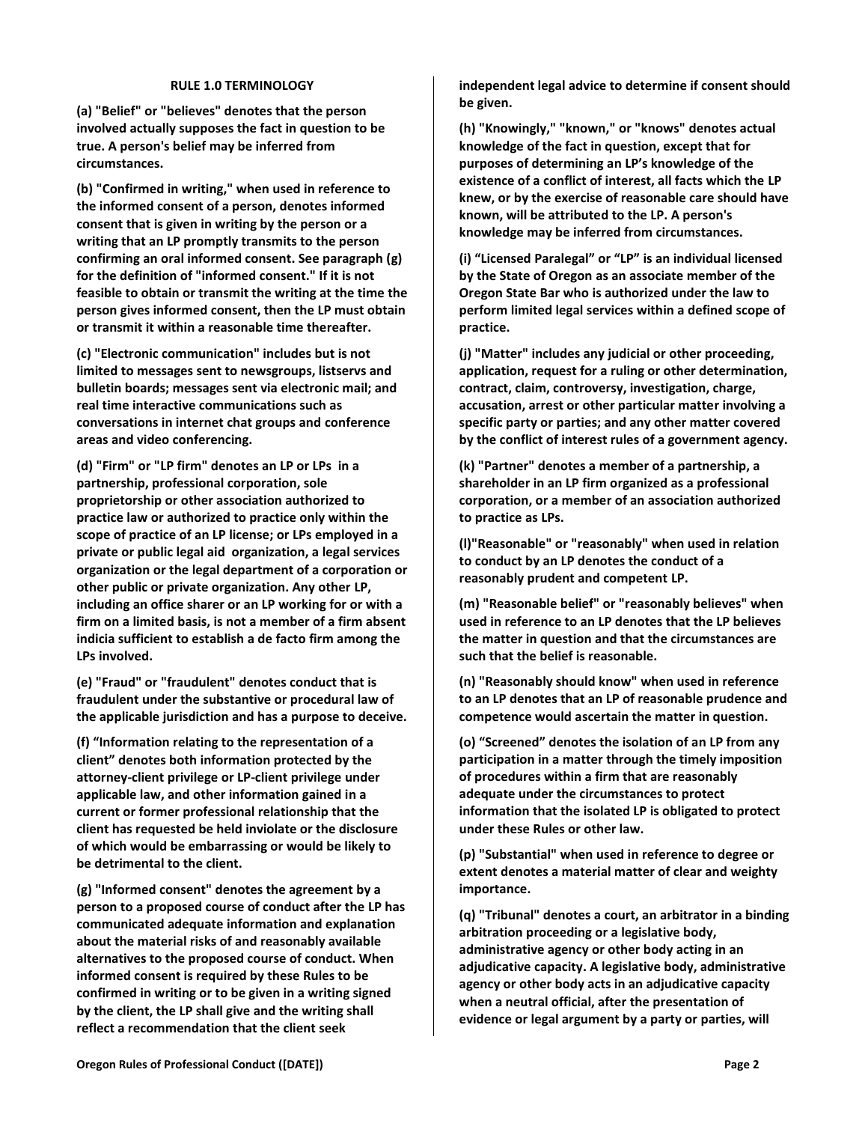#### **RULE 1.0 TERMINOLOGY**

<span id="page-1-0"></span>**(a) "Belief" or "believes" denotes that the person involved actually supposes the fact in question to be true. A person's belief may be inferred from circumstances.**

**(b) "Confirmed in writing," when used in reference to the informed consent of a person, denotes informed consent that is given in writing by the person or a writing that an LP promptly transmits to the person confirming an oral informed consent. See paragraph (g) for the definition of "informed consent." If it is not feasible to obtain or transmit the writing at the time the person gives informed consent, then the LP must obtain or transmit it within a reasonable time thereafter.**

**(c) "Electronic communication" includes but is not limited to messages sent to newsgroups, listservs and bulletin boards; messages sent via electronic mail; and real time interactive communications such as conversations in internet chat groups and conference areas and video conferencing.**

**(d) "Firm" or "LP firm" denotes an LP or LPs in a partnership, professional corporation, sole proprietorship or other association authorized to practice law or authorized to practice only within the scope of practice of an LP license; or LPs employed in a private or public legal aid organization, a legal services organization or the legal department of a corporation or other public or private organization. Any other LP, including an office sharer or an LP working for or with a firm on a limited basis, is not a member of a firm absent indicia sufficient to establish a de facto firm among the LPs involved.**

**(e) "Fraud" or "fraudulent" denotes conduct that is fraudulent under the substantive or procedural law of the applicable jurisdiction and has a purpose to deceive.**

**(f) "Information relating to the representation of a client" denotes both information protected by the attorney-client privilege or LP-client privilege under applicable law, and other information gained in a current or former professional relationship that the client has requested be held inviolate or the disclosure of which would be embarrassing or would be likely to be detrimental to the client.**

**(g) "Informed consent" denotes the agreement by a person to a proposed course of conduct after the LP has communicated adequate information and explanation about the material risks of and reasonably available alternatives to the proposed course of conduct. When informed consent is required by these Rules to be confirmed in writing or to be given in a writing signed by the client, the LP shall give and the writing shall reflect a recommendation that the client seek** 

**independent legal advice to determine if consent should be given.**

**(h) "Knowingly," "known," or "knows" denotes actual knowledge of the fact in question, except that for purposes of determining an LP's knowledge of the existence of a conflict of interest, all facts which the LP knew, or by the exercise of reasonable care should have known, will be attributed to the LP. A person's knowledge may be inferred from circumstances.**

**(i) "Licensed Paralegal" or "LP" is an individual licensed by the State of Oregon as an associate member of the Oregon State Bar who is authorized under the law to perform limited legal services within a defined scope of practice.**

**(j) "Matter" includes any judicial or other proceeding, application, request for a ruling or other determination, contract, claim, controversy, investigation, charge, accusation, arrest or other particular matter involving a specific party or parties; and any other matter covered by the conflict of interest rules of a government agency.**

**(k) "Partner" denotes a member of a partnership, a shareholder in an LP firm organized as a professional corporation, or a member of an association authorized to practice as LPs.**

**(l)"Reasonable" or "reasonably" when used in relation to conduct by an LP denotes the conduct of a reasonably prudent and competent LP.**

**(m) "Reasonable belief" or "reasonably believes" when used in reference to an LP denotes that the LP believes the matter in question and that the circumstances are such that the belief is reasonable.**

**(n) "Reasonably should know" when used in reference to an LP denotes that an LP of reasonable prudence and competence would ascertain the matter in question.**

**(o) "Screened" denotes the isolation of an LP from any participation in a matter through the timely imposition of procedures within a firm that are reasonably adequate under the circumstances to protect information that the isolated LP is obligated to protect under these Rules or other law.** 

**(p) "Substantial" when used in reference to degree or extent denotes a material matter of clear and weighty importance.**

**(q) "Tribunal" denotes a court, an arbitrator in a binding arbitration proceeding or a legislative body, administrative agency or other body acting in an adjudicative capacity. A legislative body, administrative agency or other body acts in an adjudicative capacity when a neutral official, after the presentation of evidence or legal argument by a party or parties, will**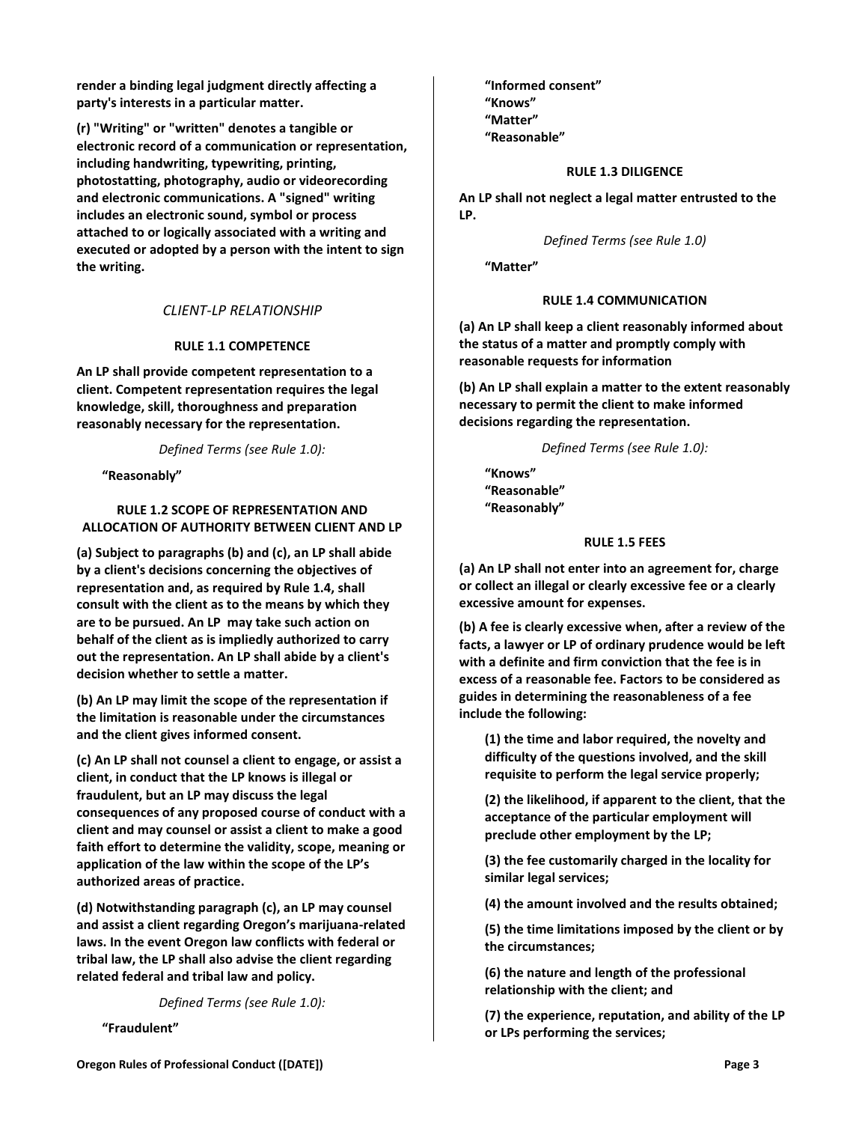**render a binding legal judgment directly affecting a party's interests in a particular matter.**

**(r) "Writing" or "written" denotes a tangible or electronic record of a communication or representation, including handwriting, typewriting, printing, photostatting, photography, audio or videorecording and electronic communications. A "signed" writing includes an electronic sound, symbol or process attached to or logically associated with a writing and executed or adopted by a person with the intent to sign the writing.**

# *CLIENT-LP RELATIONSHIP*

### **RULE 1.1 COMPETENCE**

<span id="page-2-1"></span><span id="page-2-0"></span>**An LP shall provide competent representation to a client. Competent representation requires the legal knowledge, skill, thoroughness and preparation reasonably necessary for the representation.**

*Defined Terms (see Rule 1.0):*

**"Reasonably"**

### <span id="page-2-2"></span>**RULE 1.2 SCOPE OF REPRESENTATION AND ALLOCATION OF AUTHORITY BETWEEN CLIENT AND LP**

**(a) Subject to paragraphs (b) and (c), an LP shall abide by a client's decisions concerning the objectives of representation and, as required by Rule 1.4, shall consult with the client as to the means by which they are to be pursued. An LP may take such action on behalf of the client as is impliedly authorized to carry out the representation. An LP shall abide by a client's decision whether to settle a matter.** 

**(b) An LP may limit the scope of the representation if the limitation is reasonable under the circumstances and the client gives informed consent.**

**(c) An LP shall not counsel a client to engage, or assist a client, in conduct that the LP knows is illegal or fraudulent, but an LP may discuss the legal consequences of any proposed course of conduct with a client and may counsel or assist a client to make a good faith effort to determine the validity, scope, meaning or application of the law within the scope of the LP's authorized areas of practice.**

**(d) Notwithstanding paragraph (c), an LP may counsel and assist a client regarding Oregon's marijuana-related laws. In the event Oregon law conflicts with federal or tribal law, the LP shall also advise the client regarding related federal and tribal law and policy.**

*Defined Terms (see Rule 1.0):*

**"Fraudulent"**

**"Informed consent" "Knows" "Matter" "Reasonable"**

### **RULE 1.3 DILIGENCE**

<span id="page-2-3"></span>**An LP shall not neglect a legal matter entrusted to the LP.**

*Defined Terms (see Rule 1.0)*

<span id="page-2-4"></span>**"Matter"**

# **RULE 1.4 COMMUNICATION**

**(a) An LP shall keep a client reasonably informed about the status of a matter and promptly comply with reasonable requests for information**

**(b) An LP shall explain a matter to the extent reasonably necessary to permit the client to make informed decisions regarding the representation.**

*Defined Terms (see Rule 1.0):*

**"Knows" "Reasonable" "Reasonably"**

#### **RULE 1.5 FEES**

<span id="page-2-5"></span>**(a) An LP shall not enter into an agreement for, charge or collect an illegal or clearly excessive fee or a clearly excessive amount for expenses.**

**(b) A fee is clearly excessive when, after a review of the facts, a lawyer or LP of ordinary prudence would be left with a definite and firm conviction that the fee is in excess of a reasonable fee. Factors to be considered as guides in determining the reasonableness of a fee include the following:**

**(1) the time and labor required, the novelty and difficulty of the questions involved, and the skill requisite to perform the legal service properly;**

**(2) the likelihood, if apparent to the client, that the acceptance of the particular employment will preclude other employment by the LP;**

**(3) the fee customarily charged in the locality for similar legal services;**

**(4) the amount involved and the results obtained;**

**(5) the time limitations imposed by the client or by the circumstances;**

**(6) the nature and length of the professional relationship with the client; and**

**(7) the experience, reputation, and ability of the LP or LPs performing the services;**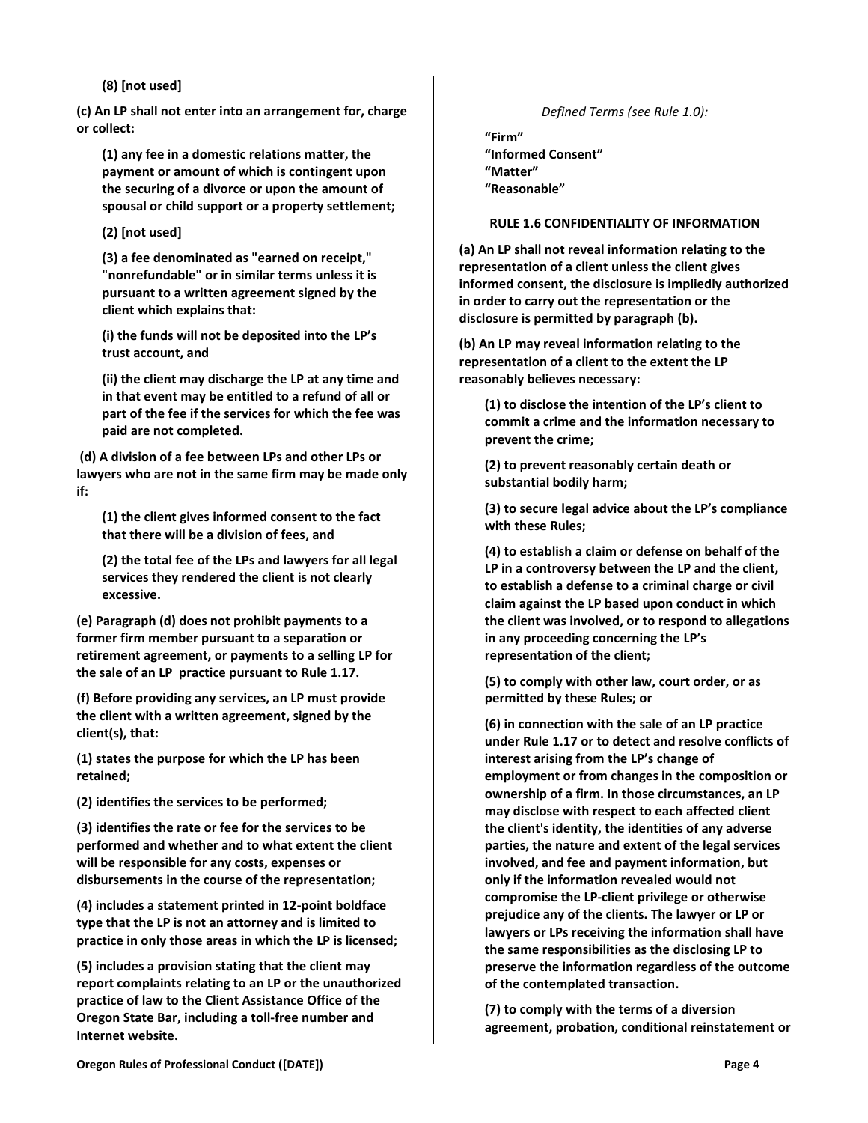**(8) [not used]**

**(c) An LP shall not enter into an arrangement for, charge or collect:**

**(1) any fee in a domestic relations matter, the payment or amount of which is contingent upon the securing of a divorce or upon the amount of spousal or child support or a property settlement;** 

**(2) [not used]**

**(3) a fee denominated as "earned on receipt," "nonrefundable" or in similar terms unless it is pursuant to a written agreement signed by the client which explains that:**

**(i) the funds will not be deposited into the LP's trust account, and**

**(ii) the client may discharge the LP at any time and in that event may be entitled to a refund of all or part of the fee if the services for which the fee was paid are not completed.**

**(d) A division of a fee between LPs and other LPs or lawyers who are not in the same firm may be made only if:**

**(1) the client gives informed consent to the fact that there will be a division of fees, and**

**(2) the total fee of the LPs and lawyers for all legal services they rendered the client is not clearly excessive.**

**(e) Paragraph (d) does not prohibit payments to a former firm member pursuant to a separation or retirement agreement, or payments to a selling LP for the sale of an LP practice pursuant to Rule 1.17.**

**(f) Before providing any services, an LP must provide the client with a written agreement, signed by the client(s), that:**

**(1) states the purpose for which the LP has been retained;**

**(2) identifies the services to be performed;**

**(3) identifies the rate or fee for the services to be performed and whether and to what extent the client will be responsible for any costs, expenses or disbursements in the course of the representation;**

**(4) includes a statement printed in 12-point boldface type that the LP is not an attorney and is limited to practice in only those areas in which the LP is licensed;**

**(5) includes a provision stating that the client may report complaints relating to an LP or the unauthorized practice of law to the Client Assistance Office of the Oregon State Bar, including a toll-free number and Internet website.**

*Defined Terms (see Rule 1.0):*

**"Firm" "Informed Consent" "Matter"**

<span id="page-3-0"></span>**"Reasonable"**

### **RULE 1.6 CONFIDENTIALITY OF INFORMATION**

**(a) An LP shall not reveal information relating to the representation of a client unless the client gives informed consent, the disclosure is impliedly authorized in order to carry out the representation or the disclosure is permitted by paragraph (b).**

**(b) An LP may reveal information relating to the representation of a client to the extent the LP reasonably believes necessary:**

**(1) to disclose the intention of the LP's client to commit a crime and the information necessary to prevent the crime;**

**(2) to prevent reasonably certain death or substantial bodily harm;** 

**(3) to secure legal advice about the LP's compliance with these Rules;**

**(4) to establish a claim or defense on behalf of the LP in a controversy between the LP and the client, to establish a defense to a criminal charge or civil claim against the LP based upon conduct in which the client was involved, or to respond to allegations in any proceeding concerning the LP's representation of the client;** 

**(5) to comply with other law, court order, or as permitted by these Rules; or**

**(6) in connection with the sale of an LP practice under Rule 1.17 or to detect and resolve conflicts of interest arising from the LP's change of employment or from changes in the composition or ownership of a firm. In those circumstances, an LP may disclose with respect to each affected client the client's identity, the identities of any adverse parties, the nature and extent of the legal services involved, and fee and payment information, but only if the information revealed would not compromise the LP-client privilege or otherwise prejudice any of the clients. The lawyer or LP or lawyers or LPs receiving the information shall have the same responsibilities as the disclosing LP to preserve the information regardless of the outcome of the contemplated transaction.**

**(7) to comply with the terms of a diversion agreement, probation, conditional reinstatement or**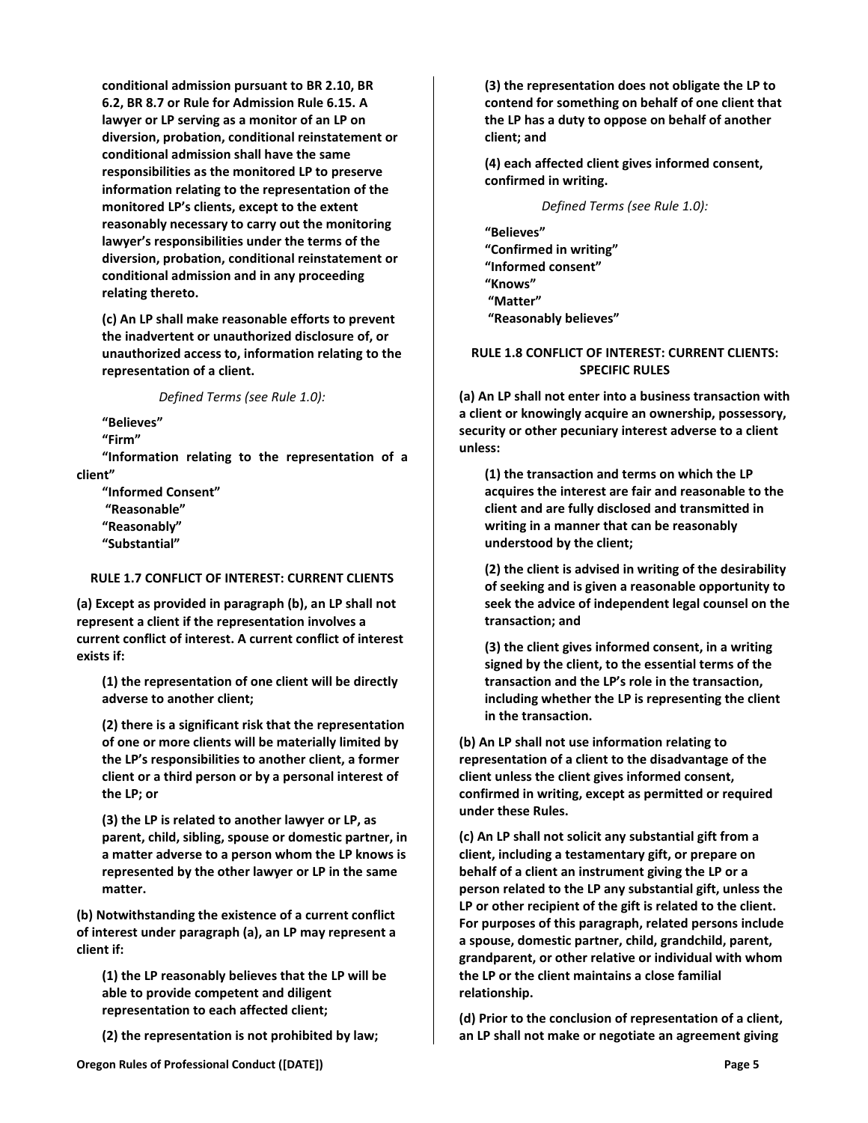**conditional admission pursuant to BR 2.10, BR 6.2, BR 8.7 or Rule for Admission Rule 6.15. A lawyer or LP serving as a monitor of an LP on diversion, probation, conditional reinstatement or conditional admission shall have the same responsibilities as the monitored LP to preserve information relating to the representation of the monitored LP's clients, except to the extent reasonably necessary to carry out the monitoring lawyer's responsibilities under the terms of the diversion, probation, conditional reinstatement or conditional admission and in any proceeding relating thereto.**

**(c) An LP shall make reasonable efforts to prevent the inadvertent or unauthorized disclosure of, or unauthorized access to, information relating to the representation of a client.**

*Defined Terms (see Rule 1.0):*

**"Believes"**

**"Firm"**

**"Information relating to the representation of a client"**

**"Informed Consent" "Reasonable" "Reasonably" "Substantial"**

# <span id="page-4-0"></span>**RULE 1.7 CONFLICT OF INTEREST: CURRENT CLIENTS**

**(a) Except as provided in paragraph (b), an LP shall not represent a client if the representation involves a current conflict of interest. A current conflict of interest exists if:**

**(1) the representation of one client will be directly adverse to another client;** 

**(2) there is a significant risk that the representation of one or more clients will be materially limited by the LP's responsibilities to another client, a former client or a third person or by a personal interest of the LP; or**

**(3) the LP is related to another lawyer or LP, as parent, child, sibling, spouse or domestic partner, in a matter adverse to a person whom the LP knows is represented by the other lawyer or LP in the same matter.**

**(b) Notwithstanding the existence of a current conflict of interest under paragraph (a), an LP may represent a client if:**

**(1) the LP reasonably believes that the LP will be able to provide competent and diligent representation to each affected client;**

**(2) the representation is not prohibited by law;**

**(3) the representation does not obligate the LP to contend for something on behalf of one client that the LP has a duty to oppose on behalf of another client; and**

**(4) each affected client gives informed consent, confirmed in writing.**

### *Defined Terms (see Rule 1.0):*

**"Believes" "Confirmed in writing" "Informed consent" "Knows" "Matter" "Reasonably believes"**

# <span id="page-4-1"></span>**RULE 1.8 CONFLICT OF INTEREST: CURRENT CLIENTS: SPECIFIC RULES**

**(a) An LP shall not enter into a business transaction with a client or knowingly acquire an ownership, possessory, security or other pecuniary interest adverse to a client unless:**

**(1) the transaction and terms on which the LP acquires the interest are fair and reasonable to the client and are fully disclosed and transmitted in writing in a manner that can be reasonably understood by the client;**

**(2) the client is advised in writing of the desirability of seeking and is given a reasonable opportunity to seek the advice of independent legal counsel on the transaction; and**

**(3) the client gives informed consent, in a writing signed by the client, to the essential terms of the transaction and the LP's role in the transaction, including whether the LP is representing the client in the transaction.**

**(b) An LP shall not use information relating to representation of a client to the disadvantage of the client unless the client gives informed consent, confirmed in writing, except as permitted or required under these Rules.**

**(c) An LP shall not solicit any substantial gift from a client, including a testamentary gift, or prepare on behalf of a client an instrument giving the LP or a person related to the LP any substantial gift, unless the LP or other recipient of the gift is related to the client. For purposes of this paragraph, related persons include a spouse, domestic partner, child, grandchild, parent, grandparent, or other relative or individual with whom the LP or the client maintains a close familial relationship.**

**(d) Prior to the conclusion of representation of a client, an LP shall not make or negotiate an agreement giving**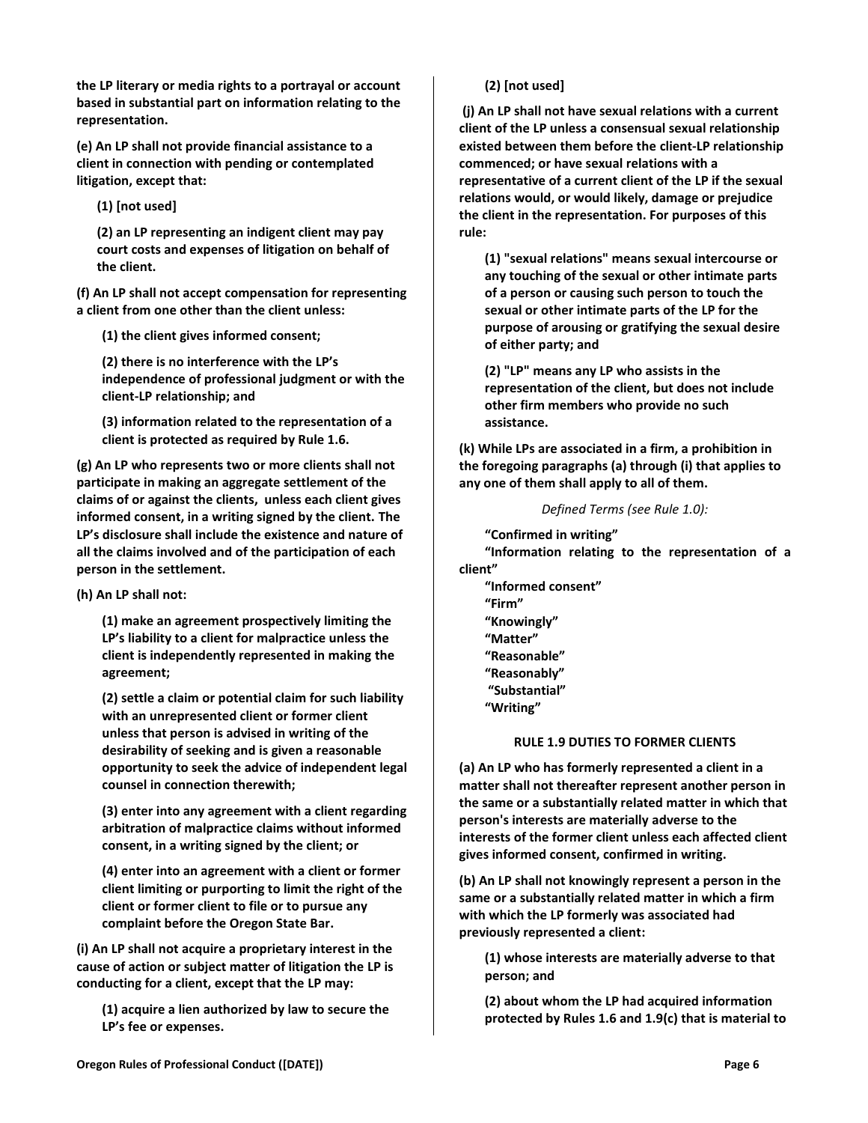**the LP literary or media rights to a portrayal or account based in substantial part on information relating to the representation.**

**(e) An LP shall not provide financial assistance to a client in connection with pending or contemplated litigation, except that:**

**(1) [not used]** 

**(2) an LP representing an indigent client may pay court costs and expenses of litigation on behalf of the client.**

**(f) An LP shall not accept compensation for representing a client from one other than the client unless:**

**(1) the client gives informed consent;**

**(2) there is no interference with the LP's independence of professional judgment or with the client-LP relationship; and**

**(3) information related to the representation of a client is protected as required by Rule 1.6.**

**(g) An LP who represents two or more clients shall not participate in making an aggregate settlement of the claims of or against the clients, unless each client gives informed consent, in a writing signed by the client. The LP's disclosure shall include the existence and nature of all the claims involved and of the participation of each person in the settlement.**

**(h) An LP shall not:** 

**(1) make an agreement prospectively limiting the LP's liability to a client for malpractice unless the client is independently represented in making the agreement;** 

**(2) settle a claim or potential claim for such liability with an unrepresented client or former client unless that person is advised in writing of the desirability of seeking and is given a reasonable opportunity to seek the advice of independent legal counsel in connection therewith;** 

**(3) enter into any agreement with a client regarding arbitration of malpractice claims without informed consent, in a writing signed by the client; or**

**(4) enter into an agreement with a client or former client limiting or purporting to limit the right of the client or former client to file or to pursue any complaint before the Oregon State Bar.**

**(i) An LP shall not acquire a proprietary interest in the cause of action or subject matter of litigation the LP is conducting for a client, except that the LP may:**

**(1) acquire a lien authorized by law to secure the LP's fee or expenses.**

# **(2) [not used]**

**(j) An LP shall not have sexual relations with a current client of the LP unless a consensual sexual relationship existed between them before the client-LP relationship commenced; or have sexual relations with a representative of a current client of the LP if the sexual relations would, or would likely, damage or prejudice the client in the representation. For purposes of this rule:**

**(1) "sexual relations" means sexual intercourse or any touching of the sexual or other intimate parts of a person or causing such person to touch the sexual or other intimate parts of the LP for the purpose of arousing or gratifying the sexual desire of either party; and**

**(2) "LP" means any LP who assists in the representation of the client, but does not include other firm members who provide no such assistance.**

**(k) While LPs are associated in a firm, a prohibition in the foregoing paragraphs (a) through (i) that applies to any one of them shall apply to all of them.**

# *Defined Terms (see Rule 1.0):*

**"Confirmed in writing" "Information relating to the representation of a client"**

**"Informed consent" "Firm" "Knowingly" "Matter" "Reasonable" "Reasonably" "Substantial" "Writing"**

# **RULE 1.9 DUTIES TO FORMER CLIENTS**

<span id="page-5-0"></span>**(a) An LP who has formerly represented a client in a matter shall not thereafter represent another person in the same or a substantially related matter in which that person's interests are materially adverse to the interests of the former client unless each affected client gives informed consent, confirmed in writing.**

**(b) An LP shall not knowingly represent a person in the same or a substantially related matter in which a firm with which the LP formerly was associated had previously represented a client:**

**(1) whose interests are materially adverse to that person; and**

**(2) about whom the LP had acquired information protected by Rules 1.6 and 1.9(c) that is material to**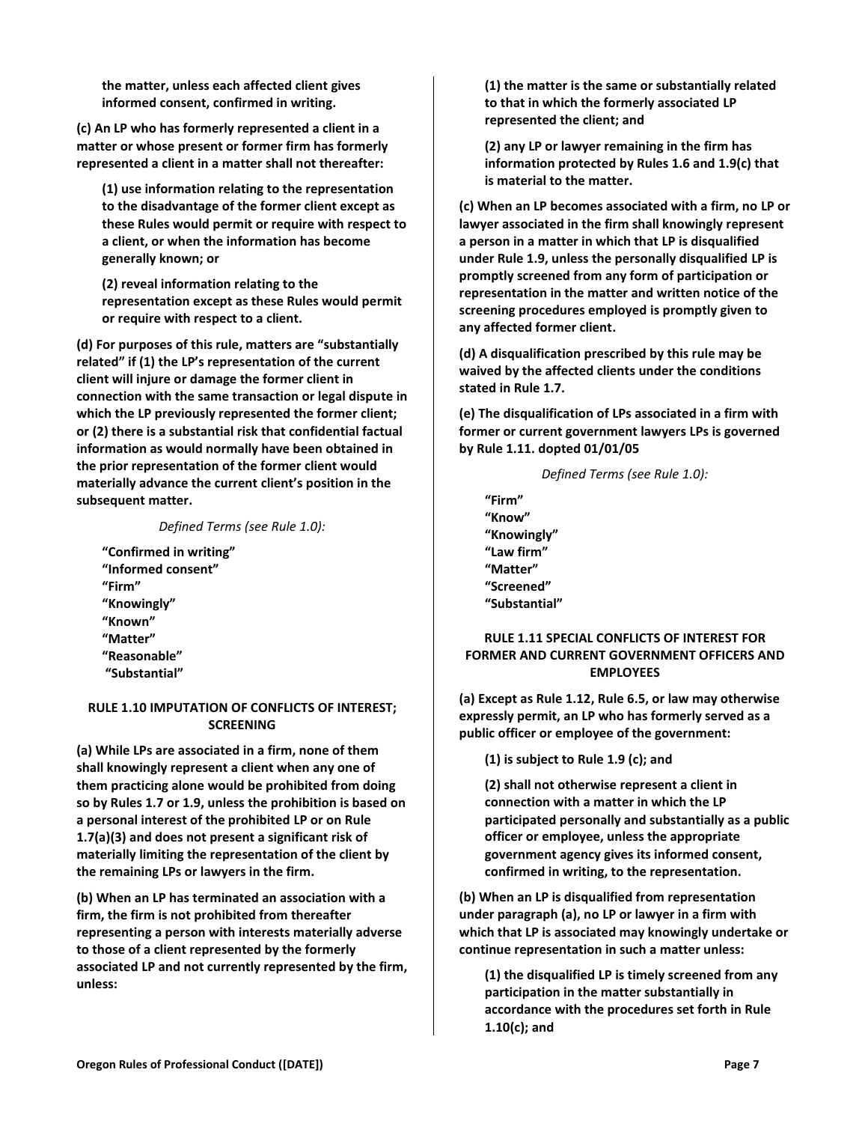**the matter, unless each affected client gives informed consent, confirmed in writing.**

**(c) An LP who has formerly represented a client in a matter or whose present or former firm has formerly represented a client in a matter shall not thereafter:**

**(1) use information relating to the representation to the disadvantage of the former client except as these Rules would permit or require with respect to a client, or when the information has become generally known; or**

**(2) reveal information relating to the representation except as these Rules would permit or require with respect to a client.**

**(d) For purposes of this rule, matters are "substantially related" if (1) the LP's representation of the current client will injure or damage the former client in connection with the same transaction or legal dispute in which the LP previously represented the former client; or (2) there is a substantial risk that confidential factual information as would normally have been obtained in the prior representation of the former client would materially advance the current client's position in the subsequent matter.**

*Defined Terms (see Rule 1.0):*

**"Confirmed in writing" "Informed consent" "Firm" "Knowingly" "Known" "Matter" "Reasonable" "Substantial"**

# <span id="page-6-0"></span>**RULE 1.10 IMPUTATION OF CONFLICTS OF INTEREST; SCREENING**

**(a) While LPs are associated in a firm, none of them shall knowingly represent a client when any one of them practicing alone would be prohibited from doing so by Rules 1.7 or 1.9, unless the prohibition is based on a personal interest of the prohibited LP or on Rule 1.7(a)(3) and does not present a significant risk of materially limiting the representation of the client by the remaining LPs or lawyers in the firm.**

**(b) When an LP has terminated an association with a firm, the firm is not prohibited from thereafter representing a person with interests materially adverse to those of a client represented by the formerly associated LP and not currently represented by the firm, unless:**

**(1) the matter is the same or substantially related to that in which the formerly associated LP represented the client; and**

**(2) any LP or lawyer remaining in the firm has information protected by Rules 1.6 and 1.9(c) that is material to the matter.**

**(c) When an LP becomes associated with a firm, no LP or lawyer associated in the firm shall knowingly represent a person in a matter in which that LP is disqualified under Rule 1.9, unless the personally disqualified LP is promptly screened from any form of participation or representation in the matter and written notice of the screening procedures employed is promptly given to any affected former client.** 

**(d) A disqualification prescribed by this rule may be waived by the affected clients under the conditions stated in Rule 1.7.**

**(e) The disqualification of LPs associated in a firm with former or current government lawyers LPs is governed by Rule 1.11. dopted 01/01/05**

*Defined Terms (see Rule 1.0):*

**"Firm" "Know" "Knowingly" "Law firm" "Matter" "Screened" "Substantial"**

# <span id="page-6-1"></span>**RULE 1.11 SPECIAL CONFLICTS OF INTEREST FOR FORMER AND CURRENT GOVERNMENT OFFICERS AND EMPLOYEES**

**(a) Except as Rule 1.12, Rule 6.5, or law may otherwise expressly permit, an LP who has formerly served as a public officer or employee of the government:**

**(1) is subject to Rule 1.9 (c); and**

**(2) shall not otherwise represent a client in connection with a matter in which the LP participated personally and substantially as a public officer or employee, unless the appropriate government agency gives its informed consent, confirmed in writing, to the representation.**

**(b) When an LP is disqualified from representation under paragraph (a), no LP or lawyer in a firm with which that LP is associated may knowingly undertake or continue representation in such a matter unless:**

**(1) the disqualified LP is timely screened from any participation in the matter substantially in accordance with the procedures set forth in Rule 1.10(c); and**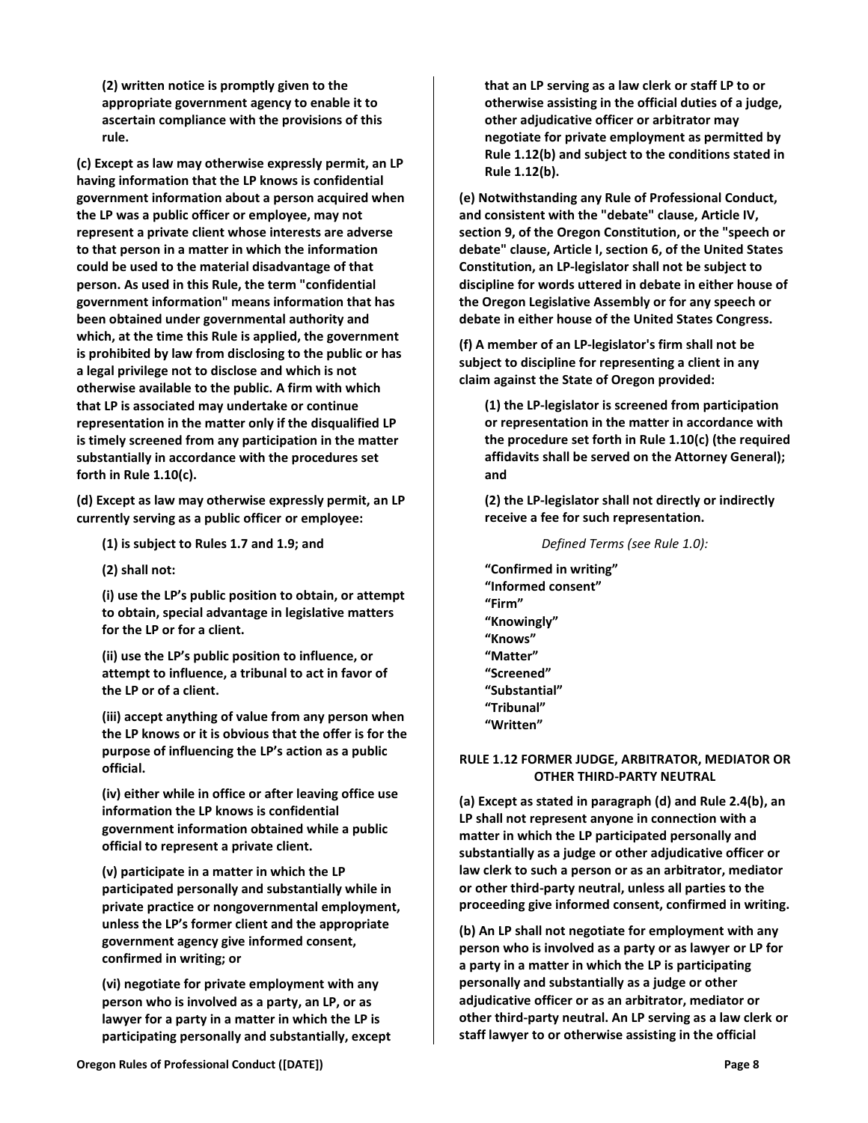**(2) written notice is promptly given to the appropriate government agency to enable it to ascertain compliance with the provisions of this rule.**

**(c) Except as law may otherwise expressly permit, an LP having information that the LP knows is confidential government information about a person acquired when the LP was a public officer or employee, may not represent a private client whose interests are adverse to that person in a matter in which the information could be used to the material disadvantage of that person. As used in this Rule, the term "confidential government information" means information that has been obtained under governmental authority and which, at the time this Rule is applied, the government is prohibited by law from disclosing to the public or has a legal privilege not to disclose and which is not otherwise available to the public. A firm with which that LP is associated may undertake or continue representation in the matter only if the disqualified LP is timely screened from any participation in the matter substantially in accordance with the procedures set forth in Rule 1.10(c).**

**(d) Except as law may otherwise expressly permit, an LP currently serving as a public officer or employee:**

**(1) is subject to Rules 1.7 and 1.9; and**

**(2) shall not:** 

**(i) use the LP's public position to obtain, or attempt to obtain, special advantage in legislative matters for the LP or for a client.**

**(ii) use the LP's public position to influence, or attempt to influence, a tribunal to act in favor of the LP or of a client.**

**(iii) accept anything of value from any person when the LP knows or it is obvious that the offer is for the purpose of influencing the LP's action as a public official.**

**(iv) either while in office or after leaving office use information the LP knows is confidential government information obtained while a public official to represent a private client.**

**(v) participate in a matter in which the LP participated personally and substantially while in private practice or nongovernmental employment, unless the LP's former client and the appropriate government agency give informed consent, confirmed in writing; or**

**(vi) negotiate for private employment with any person who is involved as a party, an LP, or as lawyer for a party in a matter in which the LP is participating personally and substantially, except**  **that an LP serving as a law clerk or staff LP to or otherwise assisting in the official duties of a judge, other adjudicative officer or arbitrator may negotiate for private employment as permitted by Rule 1.12(b) and subject to the conditions stated in Rule 1.12(b).**

**(e) Notwithstanding any Rule of Professional Conduct, and consistent with the "debate" clause, Article IV, section 9, of the Oregon Constitution, or the "speech or debate" clause, Article I, section 6, of the United States Constitution, an LP-legislator shall not be subject to discipline for words uttered in debate in either house of the Oregon Legislative Assembly or for any speech or debate in either house of the United States Congress.**

**(f) A member of an LP-legislator's firm shall not be subject to discipline for representing a client in any claim against the State of Oregon provided:**

**(1) the LP-legislator is screened from participation or representation in the matter in accordance with the procedure set forth in Rule 1.10(c) (the required affidavits shall be served on the Attorney General); and**

**(2) the LP-legislator shall not directly or indirectly receive a fee for such representation.**

*Defined Terms (see Rule 1.0):*

**"Confirmed in writing" "Informed consent" "Firm" "Knowingly" "Knows" "Matter" "Screened" "Substantial" "Tribunal" "Written"**

# <span id="page-7-0"></span>**RULE 1.12 FORMER JUDGE, ARBITRATOR, MEDIATOR OR OTHER THIRD-PARTY NEUTRAL**

**(a) Except as stated in paragraph (d) and Rule 2.4(b), an LP shall not represent anyone in connection with a matter in which the LP participated personally and substantially as a judge or other adjudicative officer or law clerk to such a person or as an arbitrator, mediator or other third-party neutral, unless all parties to the proceeding give informed consent, confirmed in writing.**

**(b) An LP shall not negotiate for employment with any person who is involved as a party or as lawyer or LP for a party in a matter in which the LP is participating personally and substantially as a judge or other adjudicative officer or as an arbitrator, mediator or other third-party neutral. An LP serving as a law clerk or staff lawyer to or otherwise assisting in the official**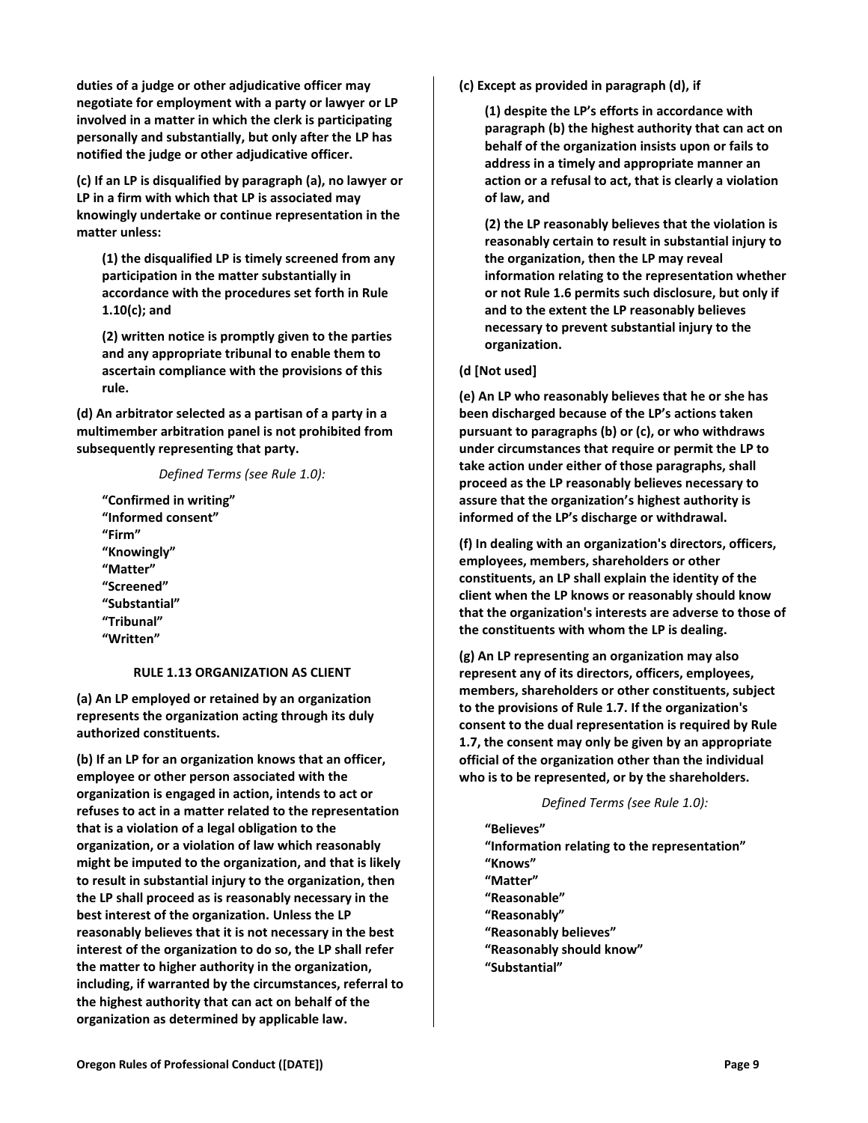**duties of a judge or other adjudicative officer may negotiate for employment with a party or lawyer or LP involved in a matter in which the clerk is participating personally and substantially, but only after the LP has notified the judge or other adjudicative officer.**

**(c) If an LP is disqualified by paragraph (a), no lawyer or LP in a firm with which that LP is associated may knowingly undertake or continue representation in the matter unless:**

**(1) the disqualified LP is timely screened from any participation in the matter substantially in accordance with the procedures set forth in Rule 1.10(c); and**

**(2) written notice is promptly given to the parties and any appropriate tribunal to enable them to ascertain compliance with the provisions of this rule.**

**(d) An arbitrator selected as a partisan of a party in a multimember arbitration panel is not prohibited from subsequently representing that party.**

### *Defined Terms (see Rule 1.0):*

**"Confirmed in writing" "Informed consent" "Firm" "Knowingly" "Matter" "Screened" "Substantial" "Tribunal" "Written"**

# **RULE 1.13 ORGANIZATION AS CLIENT**

<span id="page-8-0"></span>**(a) An LP employed or retained by an organization represents the organization acting through its duly authorized constituents.**

**(b) If an LP for an organization knows that an officer, employee or other person associated with the organization is engaged in action, intends to act or refuses to act in a matter related to the representation that is a violation of a legal obligation to the organization, or a violation of law which reasonably might be imputed to the organization, and that is likely to result in substantial injury to the organization, then the LP shall proceed as is reasonably necessary in the best interest of the organization. Unless the LP reasonably believes that it is not necessary in the best interest of the organization to do so, the LP shall refer the matter to higher authority in the organization, including, if warranted by the circumstances, referral to the highest authority that can act on behalf of the organization as determined by applicable law.**

**(c) Except as provided in paragraph (d), if**

**(1) despite the LP's efforts in accordance with paragraph (b) the highest authority that can act on behalf of the organization insists upon or fails to address in a timely and appropriate manner an action or a refusal to act, that is clearly a violation of law, and**

**(2) the LP reasonably believes that the violation is reasonably certain to result in substantial injury to the organization, then the LP may reveal information relating to the representation whether or not Rule 1.6 permits such disclosure, but only if and to the extent the LP reasonably believes necessary to prevent substantial injury to the organization.**

### **(d [Not used]**

**(e) An LP who reasonably believes that he or she has been discharged because of the LP's actions taken pursuant to paragraphs (b) or (c), or who withdraws under circumstances that require or permit the LP to take action under either of those paragraphs, shall proceed as the LP reasonably believes necessary to assure that the organization's highest authority is informed of the LP's discharge or withdrawal.**

**(f) In dealing with an organization's directors, officers, employees, members, shareholders or other constituents, an LP shall explain the identity of the client when the LP knows or reasonably should know that the organization's interests are adverse to those of the constituents with whom the LP is dealing.**

**(g) An LP representing an organization may also represent any of its directors, officers, employees, members, shareholders or other constituents, subject to the provisions of Rule 1.7. If the organization's consent to the dual representation is required by Rule 1.7, the consent may only be given by an appropriate official of the organization other than the individual who is to be represented, or by the shareholders.**

#### *Defined Terms (see Rule 1.0):*

**"Believes" "Information relating to the representation" "Knows" "Matter"**

- **"Reasonable"**
- **"Reasonably"**
- **"Reasonably believes"**
- **"Reasonably should know"**
- **"Substantial"**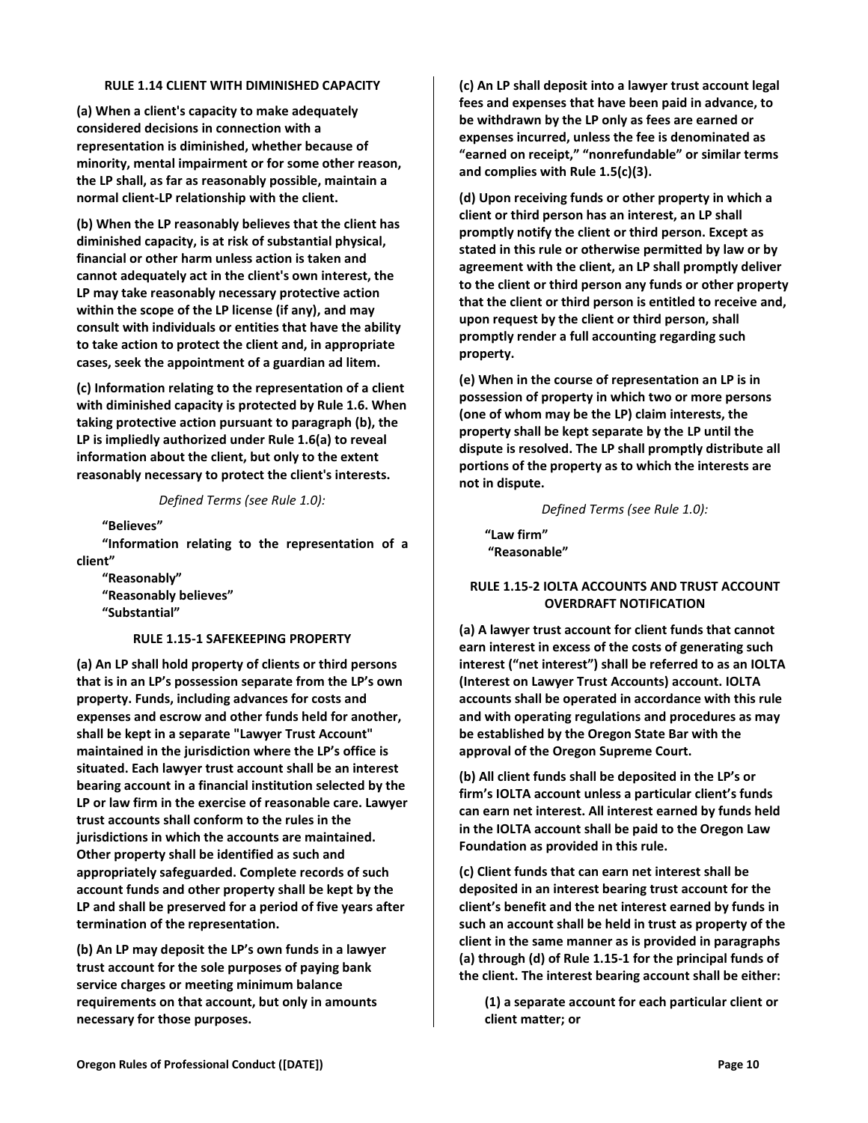### **RULE 1.14 CLIENT WITH DIMINISHED CAPACITY**

<span id="page-9-0"></span>**(a) When a client's capacity to make adequately considered decisions in connection with a representation is diminished, whether because of minority, mental impairment or for some other reason, the LP shall, as far as reasonably possible, maintain a normal client-LP relationship with the client.**

**(b) When the LP reasonably believes that the client has diminished capacity, is at risk of substantial physical, financial or other harm unless action is taken and cannot adequately act in the client's own interest, the LP may take reasonably necessary protective action within the scope of the LP license (if any), and may consult with individuals or entities that have the ability to take action to protect the client and, in appropriate cases, seek the appointment of a guardian ad litem.**

**(c) Information relating to the representation of a client with diminished capacity is protected by Rule 1.6. When taking protective action pursuant to paragraph (b), the LP is impliedly authorized under Rule 1.6(a) to reveal information about the client, but only to the extent reasonably necessary to protect the client's interests.**

*Defined Terms (see Rule 1.0):*

**"Believes"**

**"Information relating to the representation of a client"**

**"Reasonably" "Reasonably believes" "Substantial"**

# **RULE 1.15-1 SAFEKEEPING PROPERTY**

<span id="page-9-1"></span>**(a) An LP shall hold property of clients or third persons that is in an LP's possession separate from the LP's own property. Funds, including advances for costs and expenses and escrow and other funds held for another, shall be kept in a separate "Lawyer Trust Account" maintained in the jurisdiction where the LP's office is situated. Each lawyer trust account shall be an interest bearing account in a financial institution selected by the LP or law firm in the exercise of reasonable care. Lawyer trust accounts shall conform to the rules in the jurisdictions in which the accounts are maintained. Other property shall be identified as such and appropriately safeguarded. Complete records of such account funds and other property shall be kept by the LP and shall be preserved for a period of five years after termination of the representation.**

**(b) An LP may deposit the LP's own funds in a lawyer trust account for the sole purposes of paying bank service charges or meeting minimum balance requirements on that account, but only in amounts necessary for those purposes.**

**(c) An LP shall deposit into a lawyer trust account legal fees and expenses that have been paid in advance, to be withdrawn by the LP only as fees are earned or expenses incurred, unless the fee is denominated as "earned on receipt," "nonrefundable" or similar terms and complies with Rule 1.5(c)(3).** 

**(d) Upon receiving funds or other property in which a client or third person has an interest, an LP shall promptly notify the client or third person. Except as stated in this rule or otherwise permitted by law or by agreement with the client, an LP shall promptly deliver to the client or third person any funds or other property that the client or third person is entitled to receive and, upon request by the client or third person, shall promptly render a full accounting regarding such property.**

**(e) When in the course of representation an LP is in possession of property in which two or more persons (one of whom may be the LP) claim interests, the property shall be kept separate by the LP until the dispute is resolved. The LP shall promptly distribute all portions of the property as to which the interests are not in dispute.**

*Defined Terms (see Rule 1.0):*

**"Law firm" "Reasonable"**

# <span id="page-9-2"></span>**RULE 1.15-2 IOLTA ACCOUNTS AND TRUST ACCOUNT OVERDRAFT NOTIFICATION**

**(a) A lawyer trust account for client funds that cannot earn interest in excess of the costs of generating such interest ("net interest") shall be referred to as an IOLTA (Interest on Lawyer Trust Accounts) account. IOLTA accounts shall be operated in accordance with this rule and with operating regulations and procedures as may be established by the Oregon State Bar with the approval of the Oregon Supreme Court.**

**(b) All client funds shall be deposited in the LP's or firm's IOLTA account unless a particular client's funds can earn net interest. All interest earned by funds held in the IOLTA account shall be paid to the Oregon Law Foundation as provided in this rule.**

**(c) Client funds that can earn net interest shall be deposited in an interest bearing trust account for the client's benefit and the net interest earned by funds in such an account shall be held in trust as property of the client in the same manner as is provided in paragraphs (a) through (d) of Rule 1.15-1 for the principal funds of the client. The interest bearing account shall be either:**

**(1) a separate account for each particular client or client matter; or**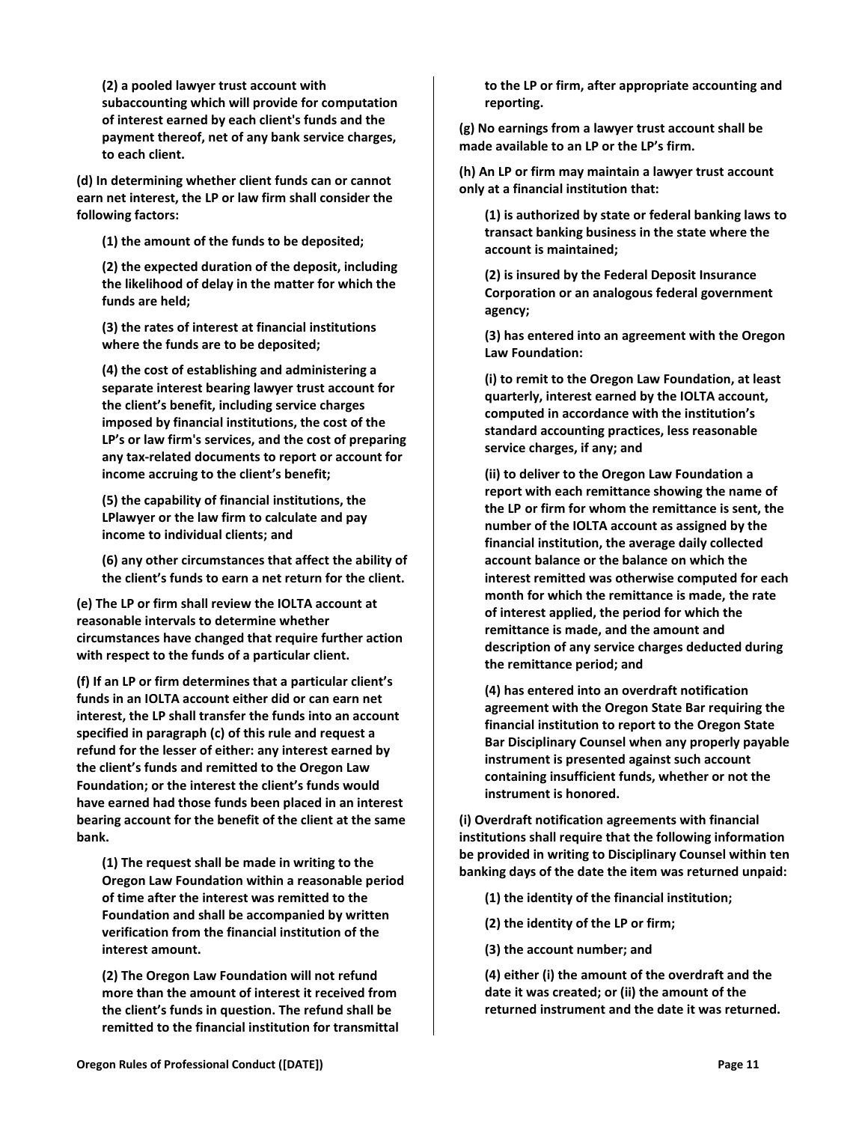**(2) a pooled lawyer trust account with subaccounting which will provide for computation of interest earned by each client's funds and the payment thereof, net of any bank service charges, to each client.**

**(d) In determining whether client funds can or cannot earn net interest, the LP or law firm shall consider the following factors:**

**(1) the amount of the funds to be deposited;**

**(2) the expected duration of the deposit, including the likelihood of delay in the matter for which the funds are held;**

**(3) the rates of interest at financial institutions where the funds are to be deposited;**

**(4) the cost of establishing and administering a separate interest bearing lawyer trust account for the client's benefit, including service charges imposed by financial institutions, the cost of the LP's or law firm's services, and the cost of preparing any tax-related documents to report or account for income accruing to the client's benefit;**

**(5) the capability of financial institutions, the LPlawyer or the law firm to calculate and pay income to individual clients; and**

**(6) any other circumstances that affect the ability of the client's funds to earn a net return for the client.**

**(e) The LP or firm shall review the IOLTA account at reasonable intervals to determine whether circumstances have changed that require further action with respect to the funds of a particular client.**

**(f) If an LP or firm determines that a particular client's funds in an IOLTA account either did or can earn net interest, the LP shall transfer the funds into an account specified in paragraph (c) of this rule and request a refund for the lesser of either: any interest earned by the client's funds and remitted to the Oregon Law Foundation; or the interest the client's funds would have earned had those funds been placed in an interest bearing account for the benefit of the client at the same bank.**

**(1) The request shall be made in writing to the Oregon Law Foundation within a reasonable period of time after the interest was remitted to the Foundation and shall be accompanied by written verification from the financial institution of the interest amount.**

**(2) The Oregon Law Foundation will not refund more than the amount of interest it received from the client's funds in question. The refund shall be remitted to the financial institution for transmittal**  **to the LP or firm, after appropriate accounting and reporting.**

**(g) No earnings from a lawyer trust account shall be made available to an LP or the LP's firm.**

**(h) An LP or firm may maintain a lawyer trust account only at a financial institution that:**

**(1) is authorized by state or federal banking laws to transact banking business in the state where the account is maintained;**

**(2) is insured by the Federal Deposit Insurance Corporation or an analogous federal government agency;**

**(3) has entered into an agreement with the Oregon Law Foundation:**

**(i) to remit to the Oregon Law Foundation, at least quarterly, interest earned by the IOLTA account, computed in accordance with the institution's standard accounting practices, less reasonable service charges, if any; and**

**(ii) to deliver to the Oregon Law Foundation a report with each remittance showing the name of the LP or firm for whom the remittance is sent, the number of the IOLTA account as assigned by the financial institution, the average daily collected account balance or the balance on which the interest remitted was otherwise computed for each month for which the remittance is made, the rate of interest applied, the period for which the remittance is made, and the amount and description of any service charges deducted during the remittance period; and**

**(4) has entered into an overdraft notification agreement with the Oregon State Bar requiring the financial institution to report to the Oregon State Bar Disciplinary Counsel when any properly payable instrument is presented against such account containing insufficient funds, whether or not the instrument is honored.**

**(i) Overdraft notification agreements with financial institutions shall require that the following information be provided in writing to Disciplinary Counsel within ten banking days of the date the item was returned unpaid:**

- **(1) the identity of the financial institution;**
- **(2) the identity of the LP or firm;**
- **(3) the account number; and**

**(4) either (i) the amount of the overdraft and the date it was created; or (ii) the amount of the returned instrument and the date it was returned.**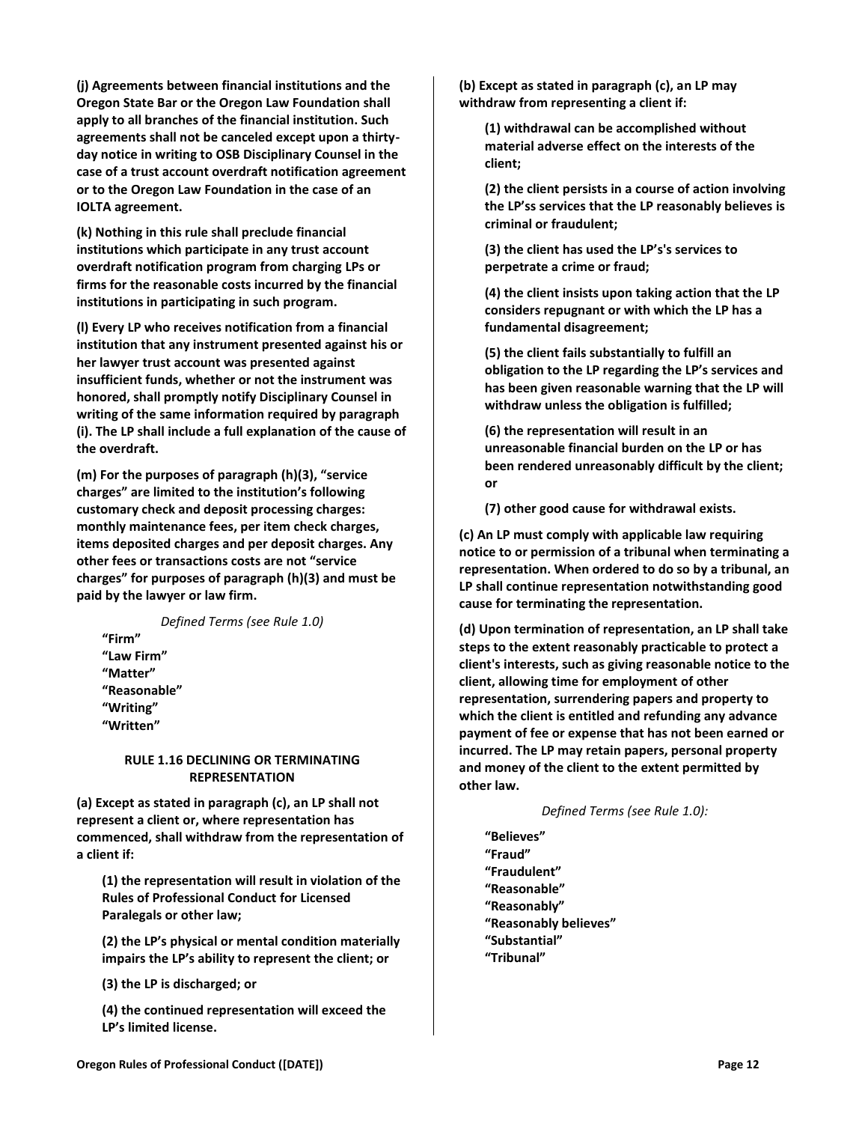**(j) Agreements between financial institutions and the Oregon State Bar or the Oregon Law Foundation shall apply to all branches of the financial institution. Such agreements shall not be canceled except upon a thirtyday notice in writing to OSB Disciplinary Counsel in the case of a trust account overdraft notification agreement or to the Oregon Law Foundation in the case of an IOLTA agreement.**

**(k) Nothing in this rule shall preclude financial institutions which participate in any trust account overdraft notification program from charging LPs or firms for the reasonable costs incurred by the financial institutions in participating in such program.**

**(l) Every LP who receives notification from a financial institution that any instrument presented against his or her lawyer trust account was presented against insufficient funds, whether or not the instrument was honored, shall promptly notify Disciplinary Counsel in writing of the same information required by paragraph (i). The LP shall include a full explanation of the cause of the overdraft.**

**(m) For the purposes of paragraph (h)(3), "service charges" are limited to the institution's following customary check and deposit processing charges: monthly maintenance fees, per item check charges, items deposited charges and per deposit charges. Any other fees or transactions costs are not "service charges" for purposes of paragraph (h)(3) and must be paid by the lawyer or law firm.**

*Defined Terms (see Rule 1.0)* **"Firm" "Law Firm" "Matter" "Reasonable" "Writing" "Written"**

#### <span id="page-11-0"></span>**RULE 1.16 DECLINING OR TERMINATING REPRESENTATION**

**(a) Except as stated in paragraph (c), an LP shall not represent a client or, where representation has commenced, shall withdraw from the representation of a client if:**

**(1) the representation will result in violation of the Rules of Professional Conduct for Licensed Paralegals or other law;**

**(2) the LP's physical or mental condition materially impairs the LP's ability to represent the client; or**

**(3) the LP is discharged; or**

**(4) the continued representation will exceed the LP's limited license.**

**(b) Except as stated in paragraph (c), an LP may withdraw from representing a client if:**

**(1) withdrawal can be accomplished without material adverse effect on the interests of the client;**

**(2) the client persists in a course of action involving the LP'ss services that the LP reasonably believes is criminal or fraudulent;**

**(3) the client has used the LP's's services to perpetrate a crime or fraud;**

**(4) the client insists upon taking action that the LP considers repugnant or with which the LP has a fundamental disagreement;**

**(5) the client fails substantially to fulfill an obligation to the LP regarding the LP's services and has been given reasonable warning that the LP will withdraw unless the obligation is fulfilled;**

**(6) the representation will result in an unreasonable financial burden on the LP or has been rendered unreasonably difficult by the client; or** 

**(7) other good cause for withdrawal exists.**

**(c) An LP must comply with applicable law requiring notice to or permission of a tribunal when terminating a representation. When ordered to do so by a tribunal, an LP shall continue representation notwithstanding good cause for terminating the representation.**

**(d) Upon termination of representation, an LP shall take steps to the extent reasonably practicable to protect a client's interests, such as giving reasonable notice to the client, allowing time for employment of other representation, surrendering papers and property to which the client is entitled and refunding any advance payment of fee or expense that has not been earned or incurred. The LP may retain papers, personal property and money of the client to the extent permitted by other law.**

*Defined Terms (see Rule 1.0):*

**"Believes" "Fraud" "Fraudulent" "Reasonable" "Reasonably" "Reasonably believes" "Substantial" "Tribunal"**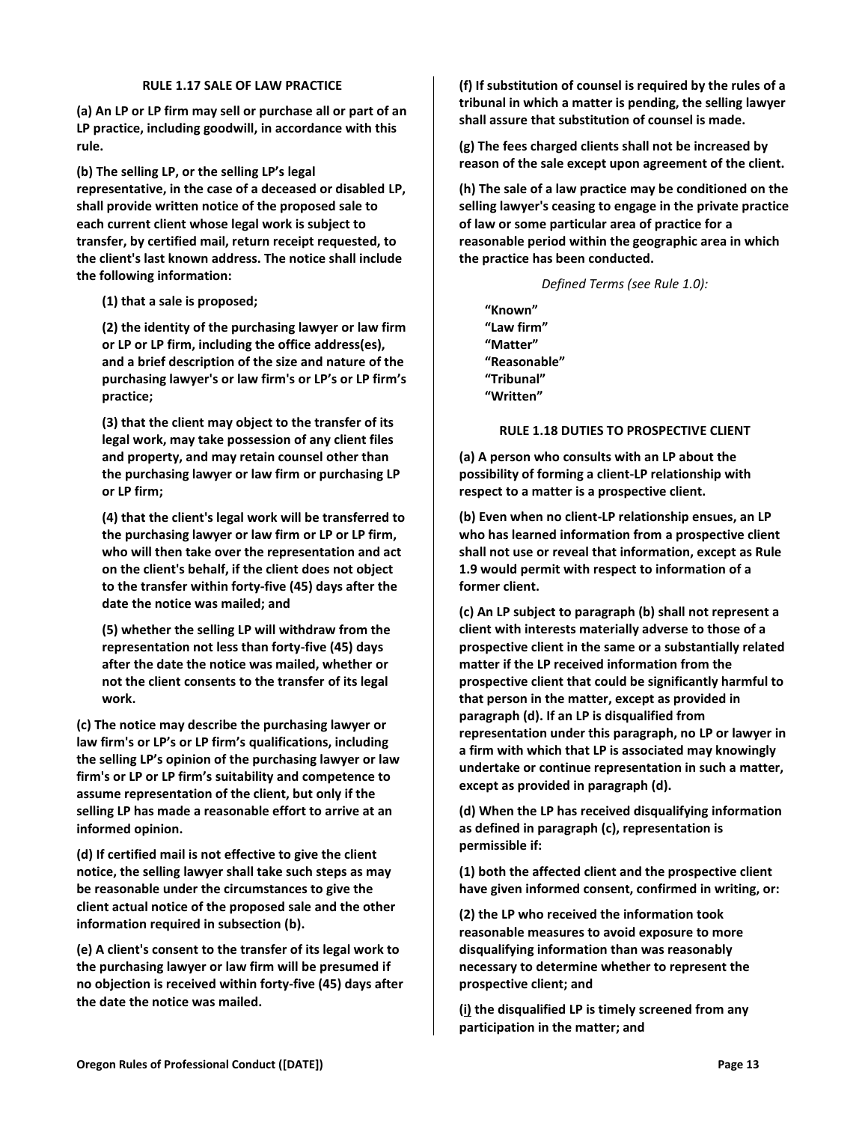### **RULE 1.17 SALE OF LAW PRACTICE**

<span id="page-12-0"></span>**(a) An LP or LP firm may sell or purchase all or part of an LP practice, including goodwill, in accordance with this rule.**

**(b) The selling LP, or the selling LP's legal representative, in the case of a deceased or disabled LP, shall provide written notice of the proposed sale to each current client whose legal work is subject to transfer, by certified mail, return receipt requested, to the client's last known address. The notice shall include the following information:**

**(1) that a sale is proposed;**

**(2) the identity of the purchasing lawyer or law firm or LP or LP firm, including the office address(es), and a brief description of the size and nature of the purchasing lawyer's or law firm's or LP's or LP firm's practice;**

**(3) that the client may object to the transfer of its legal work, may take possession of any client files and property, and may retain counsel other than the purchasing lawyer or law firm or purchasing LP or LP firm;**

**(4) that the client's legal work will be transferred to the purchasing lawyer or law firm or LP or LP firm, who will then take over the representation and act on the client's behalf, if the client does not object to the transfer within forty-five (45) days after the date the notice was mailed; and**

**(5) whether the selling LP will withdraw from the representation not less than forty-five (45) days after the date the notice was mailed, whether or not the client consents to the transfer of its legal work.**

**(c) The notice may describe the purchasing lawyer or law firm's or LP's or LP firm's qualifications, including the selling LP's opinion of the purchasing lawyer or law firm's or LP or LP firm's suitability and competence to assume representation of the client, but only if the selling LP has made a reasonable effort to arrive at an informed opinion.**

**(d) If certified mail is not effective to give the client notice, the selling lawyer shall take such steps as may be reasonable under the circumstances to give the client actual notice of the proposed sale and the other information required in subsection (b).**

**(e) A client's consent to the transfer of its legal work to the purchasing lawyer or law firm will be presumed if no objection is received within forty-five (45) days after the date the notice was mailed.**

**(f) If substitution of counsel is required by the rules of a tribunal in which a matter is pending, the selling lawyer shall assure that substitution of counsel is made.**

**(g) The fees charged clients shall not be increased by reason of the sale except upon agreement of the client.**

**(h) The sale of a law practice may be conditioned on the selling lawyer's ceasing to engage in the private practice of law or some particular area of practice for a reasonable period within the geographic area in which the practice has been conducted.**

*Defined Terms (see Rule 1.0):*

**"Known" "Law firm" "Matter" "Reasonable" "Tribunal" "Written"**

### **RULE 1.18 DUTIES TO PROSPECTIVE CLIENT**

<span id="page-12-1"></span>**(a) A person who consults with an LP about the possibility of forming a client-LP relationship with respect to a matter is a prospective client.**

**(b) Even when no client-LP relationship ensues, an LP who has learned information from a prospective client shall not use or reveal that information, except as Rule 1.9 would permit with respect to information of a former client.**

**(c) An LP subject to paragraph (b) shall not represent a client with interests materially adverse to those of a prospective client in the same or a substantially related matter if the LP received information from the prospective client that could be significantly harmful to that person in the matter, except as provided in paragraph (d). If an LP is disqualified from representation under this paragraph, no LP or lawyer in a firm with which that LP is associated may knowingly undertake or continue representation in such a matter, except as provided in paragraph (d).**

**(d) When the LP has received disqualifying information as defined in paragraph (c), representation is permissible if:**

**(1) both the affected client and the prospective client have given informed consent, confirmed in writing, or:**

**(2) the LP who received the information took reasonable measures to avoid exposure to more disqualifying information than was reasonably necessary to determine whether to represent the prospective client; and** 

**(i) the disqualified LP is timely screened from any participation in the matter; and**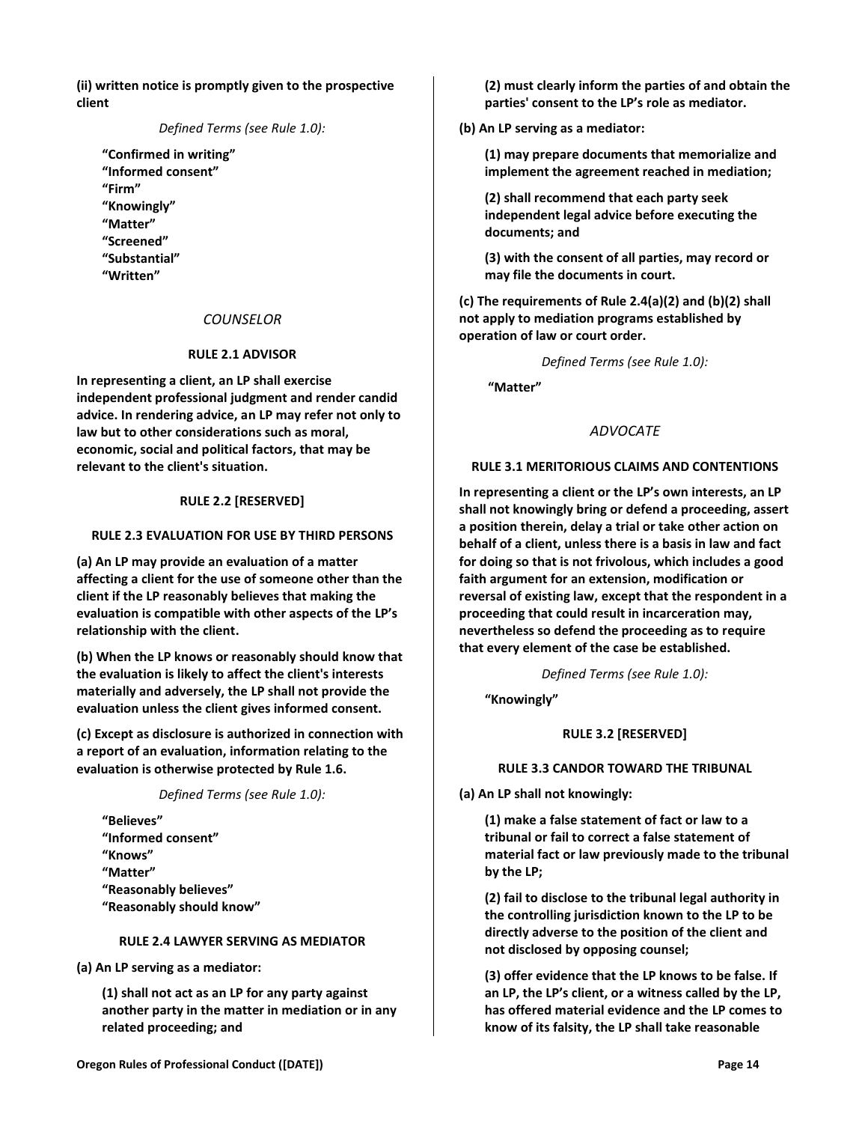**(ii) written notice is promptly given to the prospective client**

*Defined Terms (see Rule 1.0):*

**"Confirmed in writing" "Informed consent" "Firm" "Knowingly" "Matter" "Screened" "Substantial" "Written"**

# *COUNSELOR*

# **RULE 2.1 ADVISOR**

<span id="page-13-1"></span><span id="page-13-0"></span>**In representing a client, an LP shall exercise independent professional judgment and render candid advice. In rendering advice, an LP may refer not only to law but to other considerations such as moral, economic, social and political factors, that may be relevant to the client's situation.**

# **RULE 2.2 [RESERVED]**

# <span id="page-13-3"></span><span id="page-13-2"></span>**RULE 2.3 EVALUATION FOR USE BY THIRD PERSONS**

**(a) An LP may provide an evaluation of a matter affecting a client for the use of someone other than the client if the LP reasonably believes that making the evaluation is compatible with other aspects of the LP's relationship with the client.**

**(b) When the LP knows or reasonably should know that the evaluation is likely to affect the client's interests materially and adversely, the LP shall not provide the evaluation unless the client gives informed consent.**

**(c) Except as disclosure is authorized in connection with a report of an evaluation, information relating to the evaluation is otherwise protected by Rule 1.6.**

*Defined Terms (see Rule 1.0):*

**"Believes" "Informed consent" "Knows" "Matter" "Reasonably believes" "Reasonably should know"**

# **RULE 2.4 LAWYER SERVING AS MEDIATOR**

<span id="page-13-4"></span>**(a) An LP serving as a mediator:**

**(1) shall not act as an LP for any party against another party in the matter in mediation or in any related proceeding; and**

**(2) must clearly inform the parties of and obtain the parties' consent to the LP's role as mediator.**

**(b) An LP serving as a mediator:**

**(1) may prepare documents that memorialize and implement the agreement reached in mediation;**

**(2) shall recommend that each party seek independent legal advice before executing the documents; and**

**(3) with the consent of all parties, may record or may file the documents in court.**

**(c) The requirements of Rule 2.4(a)(2) and (b)(2) shall not apply to mediation programs established by operation of law or court order.**

*Defined Terms (see Rule 1.0):*

<span id="page-13-5"></span>**"Matter"**

# *ADVOCATE*

# <span id="page-13-6"></span>**RULE 3.1 MERITORIOUS CLAIMS AND CONTENTIONS**

**In representing a client or the LP's own interests, an LP shall not knowingly bring or defend a proceeding, assert a position therein, delay a trial or take other action on behalf of a client, unless there is a basis in law and fact for doing so that is not frivolous, which includes a good faith argument for an extension, modification or reversal of existing law, except that the respondent in a proceeding that could result in incarceration may, nevertheless so defend the proceeding as to require that every element of the case be established.**

*Defined Terms (see Rule 1.0):*

<span id="page-13-7"></span>**"Knowingly"**

# **RULE 3.2 [RESERVED]**

#### **RULE 3.3 CANDOR TOWARD THE TRIBUNAL**

<span id="page-13-8"></span>**(a) An LP shall not knowingly:**

**(1) make a false statement of fact or law to a tribunal or fail to correct a false statement of material fact or law previously made to the tribunal by the LP;**

**(2) fail to disclose to the tribunal legal authority in the controlling jurisdiction known to the LP to be directly adverse to the position of the client and not disclosed by opposing counsel;** 

**(3) offer evidence that the LP knows to be false. If an LP, the LP's client, or a witness called by the LP, has offered material evidence and the LP comes to know of its falsity, the LP shall take reasonable**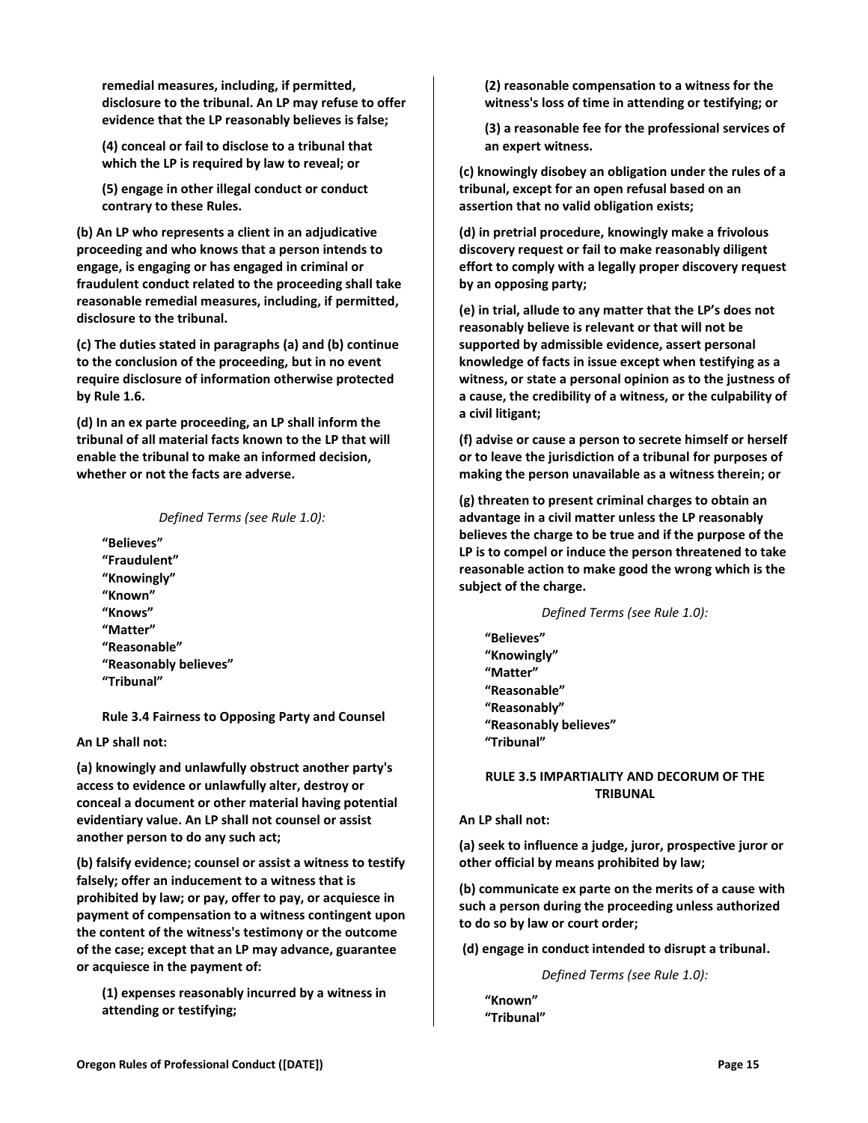**remedial measures, including, if permitted, disclosure to the tribunal. An LP may refuse to offer evidence that the LP reasonably believes is false;**

**(4) conceal or fail to disclose to a tribunal that which the LP is required by law to reveal; or**

**(5) engage in other illegal conduct or conduct contrary to these Rules.**

**(b) An LP who represents a client in an adjudicative proceeding and who knows that a person intends to engage, is engaging or has engaged in criminal or fraudulent conduct related to the proceeding shall take reasonable remedial measures, including, if permitted, disclosure to the tribunal.**

**(c) The duties stated in paragraphs (a) and (b) continue to the conclusion of the proceeding, but in no event require disclosure of information otherwise protected by Rule 1.6.**

**(d) In an ex parte proceeding, an LP shall inform the tribunal of all material facts known to the LP that will enable the tribunal to make an informed decision, whether or not the facts are adverse.**

#### *Defined Terms (see Rule 1.0):*

**"Believes" "Fraudulent" "Knowingly" "Known" "Knows" "Matter" "Reasonable" "Reasonably believes" "Tribunal"**

<span id="page-14-0"></span>**Rule 3.4 Fairness to Opposing Party and Counsel**

**An LP shall not:**

**(a) knowingly and unlawfully obstruct another party's access to evidence or unlawfully alter, destroy or conceal a document or other material having potential evidentiary value. An LP shall not counsel or assist another person to do any such act;**

**(b) falsify evidence; counsel or assist a witness to testify falsely; offer an inducement to a witness that is prohibited by law; or pay, offer to pay, or acquiesce in payment of compensation to a witness contingent upon the content of the witness's testimony or the outcome of the case; except that an LP may advance, guarantee or acquiesce in the payment of:**

**(1) expenses reasonably incurred by a witness in attending or testifying;**

**(2) reasonable compensation to a witness for the witness's loss of time in attending or testifying; or**

**(3) a reasonable fee for the professional services of an expert witness.**

**(c) knowingly disobey an obligation under the rules of a tribunal, except for an open refusal based on an assertion that no valid obligation exists;**

**(d) in pretrial procedure, knowingly make a frivolous discovery request or fail to make reasonably diligent effort to comply with a legally proper discovery request by an opposing party;**

**(e) in trial, allude to any matter that the LP's does not reasonably believe is relevant or that will not be supported by admissible evidence, assert personal knowledge of facts in issue except when testifying as a witness, or state a personal opinion as to the justness of a cause, the credibility of a witness, or the culpability of a civil litigant;** 

**(f) advise or cause a person to secrete himself or herself or to leave the jurisdiction of a tribunal for purposes of making the person unavailable as a witness therein; or**

**(g) threaten to present criminal charges to obtain an advantage in a civil matter unless the LP reasonably believes the charge to be true and if the purpose of the LP is to compel or induce the person threatened to take reasonable action to make good the wrong which is the subject of the charge.**

*Defined Terms (see Rule 1.0):*

**"Believes" "Knowingly" "Matter" "Reasonable" "Reasonably" "Reasonably believes" "Tribunal"**

# <span id="page-14-1"></span>**RULE 3.5 IMPARTIALITY AND DECORUM OF THE TRIBUNAL**

**An LP shall not:**

**(a) seek to influence a judge, juror, prospective juror or other official by means prohibited by law;**

**(b) communicate ex parte on the merits of a cause with such a person during the proceeding unless authorized to do so by law or court order;**

**(d) engage in conduct intended to disrupt a tribunal.**

*Defined Terms (see Rule 1.0):*

**"Known" "Tribunal"**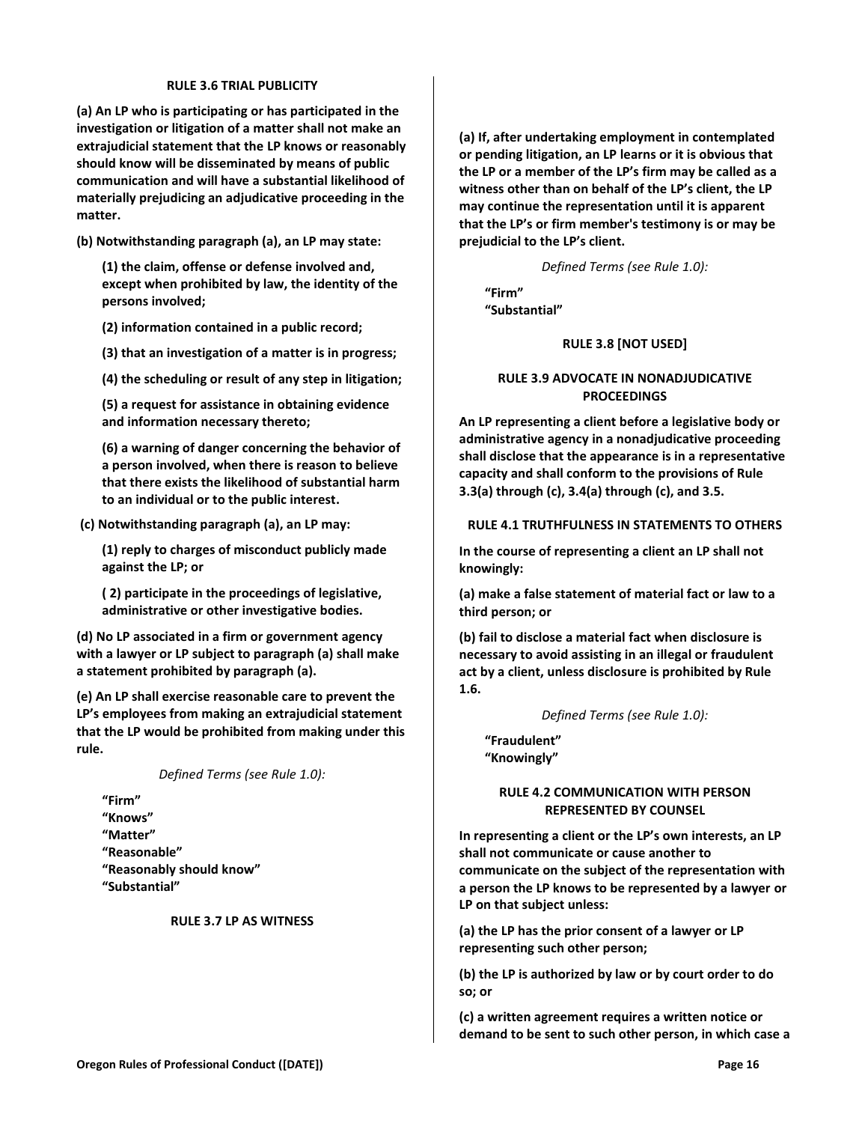#### **RULE 3.6 TRIAL PUBLICITY**

<span id="page-15-0"></span>**(a) An LP who is participating or has participated in the investigation or litigation of a matter shall not make an extrajudicial statement that the LP knows or reasonably should know will be disseminated by means of public communication and will have a substantial likelihood of materially prejudicing an adjudicative proceeding in the matter.**

**(b) Notwithstanding paragraph (a), an LP may state:**

**(1) the claim, offense or defense involved and, except when prohibited by law, the identity of the persons involved;**

**(2) information contained in a public record;**

**(3) that an investigation of a matter is in progress;**

**(4) the scheduling or result of any step in litigation;**

**(5) a request for assistance in obtaining evidence and information necessary thereto;**

**(6) a warning of danger concerning the behavior of a person involved, when there is reason to believe that there exists the likelihood of substantial harm to an individual or to the public interest.**

**(c) Notwithstanding paragraph (a), an LP may:**

**(1) reply to charges of misconduct publicly made against the LP; or**

**( 2) participate in the proceedings of legislative, administrative or other investigative bodies.**

**(d) No LP associated in a firm or government agency with a lawyer or LP subject to paragraph (a) shall make a statement prohibited by paragraph (a).**

**(e) An LP shall exercise reasonable care to prevent the LP's employees from making an extrajudicial statement that the LP would be prohibited from making under this rule.**

*Defined Terms (see Rule 1.0):*

**"Firm" "Knows" "Matter" "Reasonable" "Reasonably should know" "Substantial"**

#### <span id="page-15-1"></span>**RULE 3.7 LP AS WITNESS**

**(a) If, after undertaking employment in contemplated or pending litigation, an LP learns or it is obvious that the LP or a member of the LP's firm may be called as a witness other than on behalf of the LP's client, the LP may continue the representation until it is apparent that the LP's or firm member's testimony is or may be prejudicial to the LP's client.**

*Defined Terms (see Rule 1.0):*

<span id="page-15-2"></span>**"Firm" "Substantial"**

#### **RULE 3.8 [NOT USED]**

# <span id="page-15-3"></span>**RULE 3.9 ADVOCATE IN NONADJUDICATIVE PROCEEDINGS**

**An LP representing a client before a legislative body or administrative agency in a nonadjudicative proceeding shall disclose that the appearance is in a representative capacity and shall conform to the provisions of Rule 3.3(a) through (c), 3.4(a) through (c), and 3.5.**

### <span id="page-15-4"></span>**RULE 4.1 TRUTHFULNESS IN STATEMENTS TO OTHERS**

**In the course of representing a client an LP shall not knowingly:**

**(a) make a false statement of material fact or law to a third person; or** 

**(b) fail to disclose a material fact when disclosure is necessary to avoid assisting in an illegal or fraudulent act by a client, unless disclosure is prohibited by Rule 1.6.**

*Defined Terms (see Rule 1.0):*

<span id="page-15-5"></span>**"Fraudulent" "Knowingly"**

#### **RULE 4.2 COMMUNICATION WITH PERSON REPRESENTED BY COUNSEL**

**In representing a client or the LP's own interests, an LP shall not communicate or cause another to communicate on the subject of the representation with a person the LP knows to be represented by a lawyer or LP on that subject unless:**

**(a) the LP has the prior consent of a lawyer or LP representing such other person;**

**(b) the LP is authorized by law or by court order to do so; or**

**(c) a written agreement requires a written notice or demand to be sent to such other person, in which case a**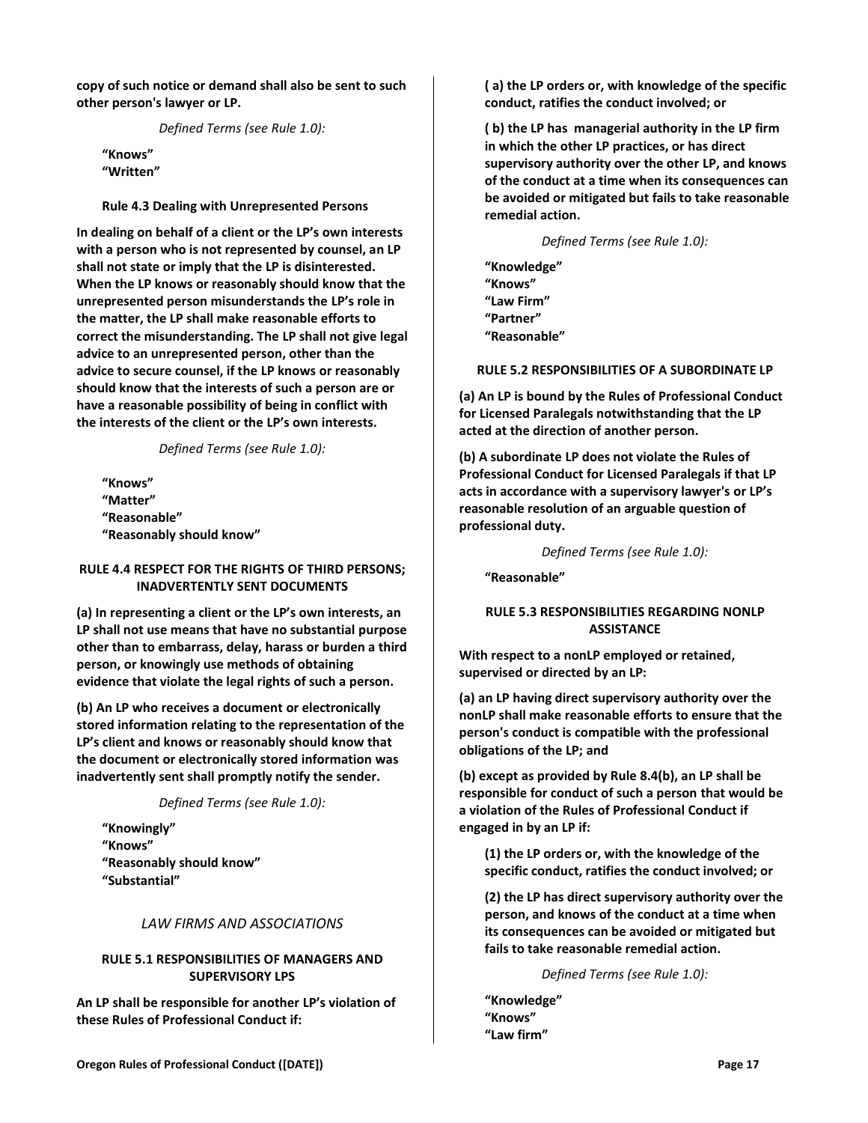**copy of such notice or demand shall also be sent to such other person's lawyer or LP.**

<span id="page-16-0"></span>*Defined Terms (see Rule 1.0):*

**"Knows" "Written"**

**Rule 4.3 Dealing with Unrepresented Persons**

**In dealing on behalf of a client or the LP's own interests with a person who is not represented by counsel, an LP shall not state or imply that the LP is disinterested. When the LP knows or reasonably should know that the unrepresented person misunderstands the LP's role in the matter, the LP shall make reasonable efforts to correct the misunderstanding. The LP shall not give legal advice to an unrepresented person, other than the advice to secure counsel, if the LP knows or reasonably should know that the interests of such a person are or have a reasonable possibility of being in conflict with the interests of the client or the LP's own interests.**

*Defined Terms (see Rule 1.0):*

**"Knows" "Matter" "Reasonable" "Reasonably should know"**

### <span id="page-16-1"></span>**RULE 4.4 RESPECT FOR THE RIGHTS OF THIRD PERSONS; INADVERTENTLY SENT DOCUMENTS**

**(a) In representing a client or the LP's own interests, an LP shall not use means that have no substantial purpose other than to embarrass, delay, harass or burden a third person, or knowingly use methods of obtaining evidence that violate the legal rights of such a person.**

**(b) An LP who receives a document or electronically stored information relating to the representation of the LP's client and knows or reasonably should know that the document or electronically stored information was inadvertently sent shall promptly notify the sender.**

*Defined Terms (see Rule 1.0):*

**"Knowingly" "Knows" "Reasonably should know" "Substantial"**

#### *LAW FIRMS AND ASSOCIATIONS*

# <span id="page-16-3"></span><span id="page-16-2"></span>**RULE 5.1 RESPONSIBILITIES OF MANAGERS AND SUPERVISORY LPS**

**An LP shall be responsible for another LP's violation of these Rules of Professional Conduct if:**

**( a) the LP orders or, with knowledge of the specific conduct, ratifies the conduct involved; or**

**( b) the LP has managerial authority in the LP firm in which the other LP practices, or has direct supervisory authority over the other LP, and knows of the conduct at a time when its consequences can be avoided or mitigated but fails to take reasonable remedial action.**

*Defined Terms (see Rule 1.0):*

**"Knowledge" "Knows" "Law Firm" "Partner" "Reasonable"**

#### <span id="page-16-4"></span>**RULE 5.2 RESPONSIBILITIES OF A SUBORDINATE LP**

**(a) An LP is bound by the Rules of Professional Conduct for Licensed Paralegals notwithstanding that the LP acted at the direction of another person.**

**(b) A subordinate LP does not violate the Rules of Professional Conduct for Licensed Paralegals if that LP acts in accordance with a supervisory lawyer's or LP's reasonable resolution of an arguable question of professional duty.**

*Defined Terms (see Rule 1.0):*

<span id="page-16-5"></span>**"Reasonable"**

### **RULE 5.3 RESPONSIBILITIES REGARDING NONLP ASSISTANCE**

**With respect to a nonLP employed or retained, supervised or directed by an LP:** 

**(a) an LP having direct supervisory authority over the nonLP shall make reasonable efforts to ensure that the person's conduct is compatible with the professional obligations of the LP; and**

**(b) except as provided by Rule 8.4(b), an LP shall be responsible for conduct of such a person that would be a violation of the Rules of Professional Conduct if engaged in by an LP if:** 

**(1) the LP orders or, with the knowledge of the specific conduct, ratifies the conduct involved; or**

**(2) the LP has direct supervisory authority over the person, and knows of the conduct at a time when its consequences can be avoided or mitigated but fails to take reasonable remedial action.**

*Defined Terms (see Rule 1.0):*

**"Knowledge" "Knows" "Law firm"**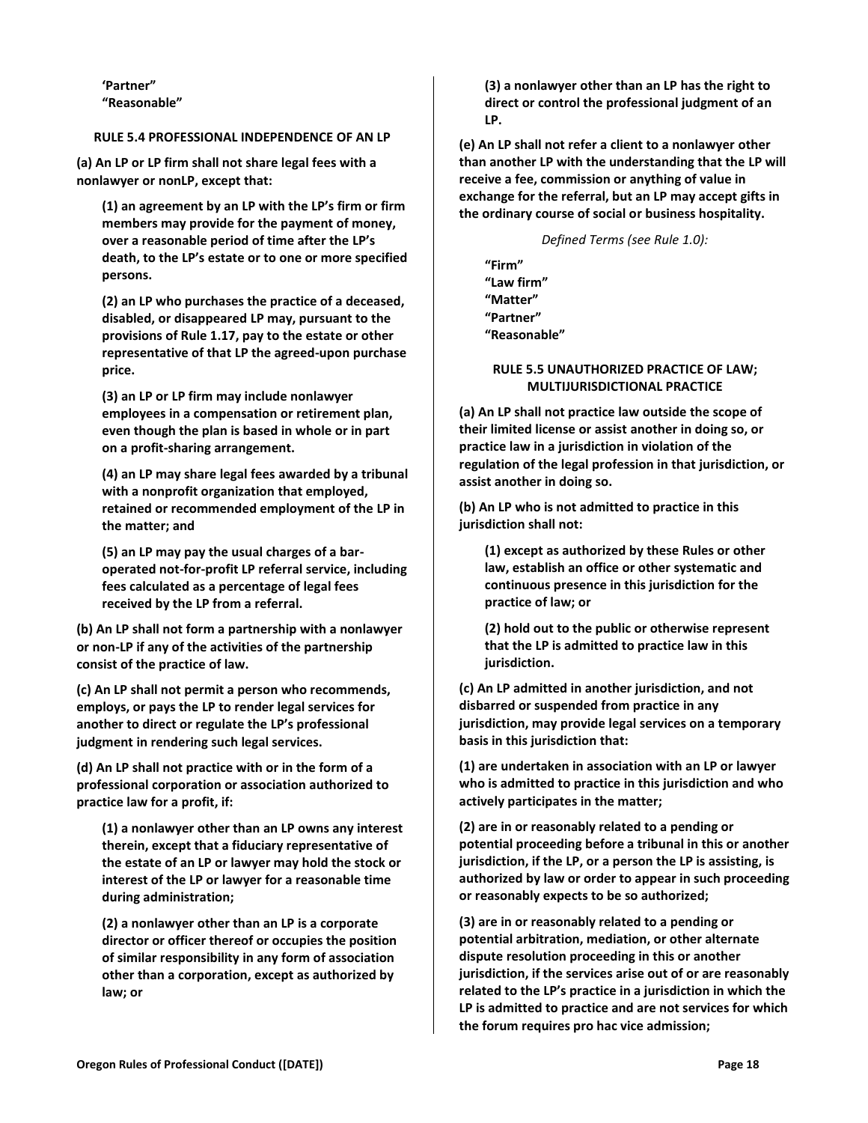**'Partner" "Reasonable"**

# <span id="page-17-0"></span>**RULE 5.4 PROFESSIONAL INDEPENDENCE OF AN LP**

**(a) An LP or LP firm shall not share legal fees with a nonlawyer or nonLP, except that:**

**(1) an agreement by an LP with the LP's firm or firm members may provide for the payment of money, over a reasonable period of time after the LP's death, to the LP's estate or to one or more specified persons.**

**(2) an LP who purchases the practice of a deceased, disabled, or disappeared LP may, pursuant to the provisions of Rule 1.17, pay to the estate or other representative of that LP the agreed-upon purchase price.** 

**(3) an LP or LP firm may include nonlawyer employees in a compensation or retirement plan, even though the plan is based in whole or in part on a profit-sharing arrangement.**

**(4) an LP may share legal fees awarded by a tribunal with a nonprofit organization that employed, retained or recommended employment of the LP in the matter; and**

**(5) an LP may pay the usual charges of a baroperated not-for-profit LP referral service, including fees calculated as a percentage of legal fees received by the LP from a referral.**

**(b) An LP shall not form a partnership with a nonlawyer or non-LP if any of the activities of the partnership consist of the practice of law.**

**(c) An LP shall not permit a person who recommends, employs, or pays the LP to render legal services for another to direct or regulate the LP's professional judgment in rendering such legal services.**

**(d) An LP shall not practice with or in the form of a professional corporation or association authorized to practice law for a profit, if:**

**(1) a nonlawyer other than an LP owns any interest therein, except that a fiduciary representative of the estate of an LP or lawyer may hold the stock or interest of the LP or lawyer for a reasonable time during administration;**

**(2) a nonlawyer other than an LP is a corporate director or officer thereof or occupies the position of similar responsibility in any form of association other than a corporation, except as authorized by law; or**

**(3) a nonlawyer other than an LP has the right to direct or control the professional judgment of an LP.**

**(e) An LP shall not refer a client to a nonlawyer other than another LP with the understanding that the LP will receive a fee, commission or anything of value in exchange for the referral, but an LP may accept gifts in the ordinary course of social or business hospitality.**

*Defined Terms (see Rule 1.0):*

**"Firm" "Law firm" "Matter" "Partner" "Reasonable"**

#### <span id="page-17-1"></span>**RULE 5.5 UNAUTHORIZED PRACTICE OF LAW; MULTIJURISDICTIONAL PRACTICE**

**(a) An LP shall not practice law outside the scope of their limited license or assist another in doing so, or practice law in a jurisdiction in violation of the regulation of the legal profession in that jurisdiction, or assist another in doing so.**

**(b) An LP who is not admitted to practice in this jurisdiction shall not:**

**(1) except as authorized by these Rules or other law, establish an office or other systematic and continuous presence in this jurisdiction for the practice of law; or**

**(2) hold out to the public or otherwise represent that the LP is admitted to practice law in this jurisdiction.**

**(c) An LP admitted in another jurisdiction, and not disbarred or suspended from practice in any jurisdiction, may provide legal services on a temporary basis in this jurisdiction that:**

**(1) are undertaken in association with an LP or lawyer who is admitted to practice in this jurisdiction and who actively participates in the matter;**

**(2) are in or reasonably related to a pending or potential proceeding before a tribunal in this or another jurisdiction, if the LP, or a person the LP is assisting, is authorized by law or order to appear in such proceeding or reasonably expects to be so authorized;**

**(3) are in or reasonably related to a pending or potential arbitration, mediation, or other alternate dispute resolution proceeding in this or another jurisdiction, if the services arise out of or are reasonably related to the LP's practice in a jurisdiction in which the LP is admitted to practice and are not services for which the forum requires pro hac vice admission;**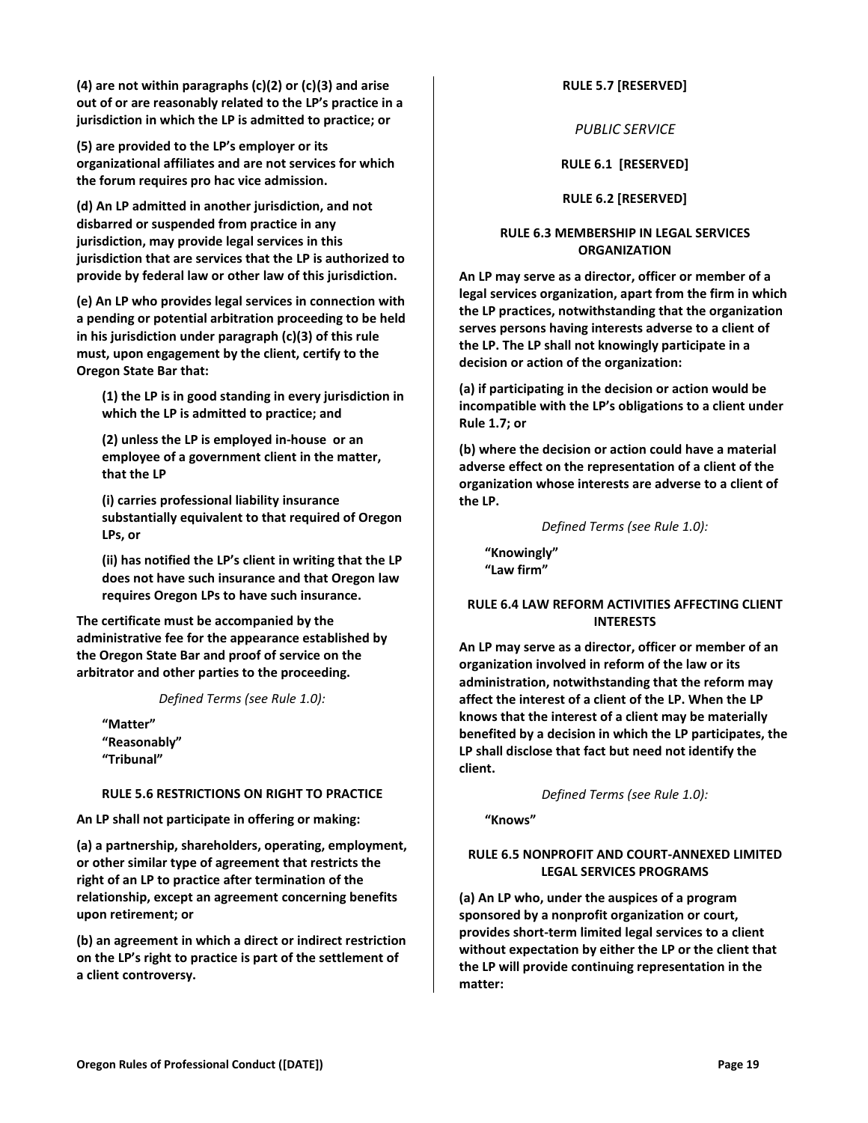**(4) are not within paragraphs (c)(2) or (c)(3) and arise out of or are reasonably related to the LP's practice in a jurisdiction in which the LP is admitted to practice; or**

**(5) are provided to the LP's employer or its organizational affiliates and are not services for which the forum requires pro hac vice admission.**

**(d) An LP admitted in another jurisdiction, and not disbarred or suspended from practice in any jurisdiction, may provide legal services in this jurisdiction that are services that the LP is authorized to provide by federal law or other law of this jurisdiction.**

**(e) An LP who provides legal services in connection with a pending or potential arbitration proceeding to be held in his jurisdiction under paragraph (c)(3) of this rule must, upon engagement by the client, certify to the Oregon State Bar that:**

**(1) the LP is in good standing in every jurisdiction in which the LP is admitted to practice; and** 

**(2) unless the LP is employed in-house or an employee of a government client in the matter, that the LP**

**(i) carries professional liability insurance substantially equivalent to that required of Oregon LPs, or** 

**(ii) has notified the LP's client in writing that the LP does not have such insurance and that Oregon law requires Oregon LPs to have such insurance.** 

**The certificate must be accompanied by the administrative fee for the appearance established by the Oregon State Bar and proof of service on the arbitrator and other parties to the proceeding.**

*Defined Terms (see Rule 1.0):*

**"Matter" "Reasonably" "Tribunal"**

# <span id="page-18-0"></span>**RULE 5.6 RESTRICTIONS ON RIGHT TO PRACTICE**

**An LP shall not participate in offering or making:**

**(a) a partnership, shareholders, operating, employment, or other similar type of agreement that restricts the right of an LP to practice after termination of the relationship, except an agreement concerning benefits upon retirement; or**

**(b) an agreement in which a direct or indirect restriction on the LP's right to practice is part of the settlement of a client controversy.**

#### <span id="page-18-2"></span><span id="page-18-1"></span>**RULE 5.7 [RESERVED]**

*PUBLIC SERVICE*

**RULE 6.1 [RESERVED]**

**RULE 6.2 [RESERVED]**

# <span id="page-18-5"></span><span id="page-18-4"></span><span id="page-18-3"></span>**RULE 6.3 MEMBERSHIP IN LEGAL SERVICES ORGANIZATION**

**An LP may serve as a director, officer or member of a legal services organization, apart from the firm in which the LP practices, notwithstanding that the organization serves persons having interests adverse to a client of the LP. The LP shall not knowingly participate in a decision or action of the organization:**

**(a) if participating in the decision or action would be incompatible with the LP's obligations to a client under Rule 1.7; or**

**(b) where the decision or action could have a material adverse effect on the representation of a client of the organization whose interests are adverse to a client of the LP.**

*Defined Terms (see Rule 1.0):*

**"Knowingly" "Law firm"**

### <span id="page-18-6"></span>**RULE 6.4 LAW REFORM ACTIVITIES AFFECTING CLIENT INTERESTS**

**An LP may serve as a director, officer or member of an organization involved in reform of the law or its administration, notwithstanding that the reform may affect the interest of a client of the LP. When the LP knows that the interest of a client may be materially benefited by a decision in which the LP participates, the LP shall disclose that fact but need not identify the client.**

*Defined Terms (see Rule 1.0):*

**"Knows"**

# <span id="page-18-7"></span>**RULE 6.5 NONPROFIT AND COURT-ANNEXED LIMITED LEGAL SERVICES PROGRAMS**

**(a) An LP who, under the auspices of a program sponsored by a nonprofit organization or court, provides short-term limited legal services to a client without expectation by either the LP or the client that the LP will provide continuing representation in the matter:**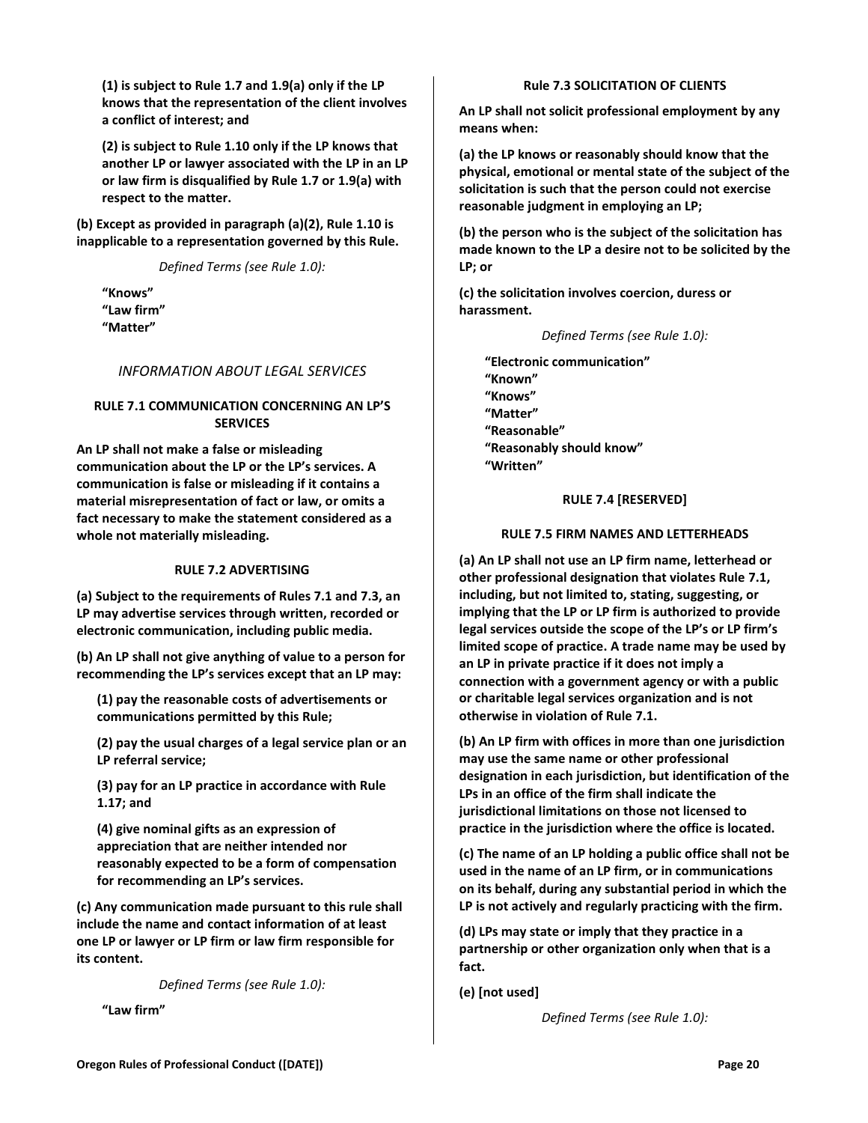**(1) is subject to Rule 1.7 and 1.9(a) only if the LP knows that the representation of the client involves a conflict of interest; and**

**(2) is subject to Rule 1.10 only if the LP knows that another LP or lawyer associated with the LP in an LP or law firm is disqualified by Rule 1.7 or 1.9(a) with respect to the matter.**

**(b) Except as provided in paragraph (a)(2), Rule 1.10 is inapplicable to a representation governed by this Rule.**

*Defined Terms (see Rule 1.0):*

**"Knows" "Law firm" "Matter"**

# <span id="page-19-0"></span>*INFORMATION ABOUT LEGAL SERVICES*

# <span id="page-19-1"></span>**RULE 7.1 COMMUNICATION CONCERNING AN LP'S SERVICES**

**An LP shall not make a false or misleading communication about the LP or the LP's services. A communication is false or misleading if it contains a material misrepresentation of fact or law, or omits a fact necessary to make the statement considered as a whole not materially misleading.**

#### **RULE 7.2 ADVERTISING**

<span id="page-19-2"></span>**(a) Subject to the requirements of Rules 7.1 and 7.3, an LP may advertise services through written, recorded or electronic communication, including public media.**

**(b) An LP shall not give anything of value to a person for recommending the LP's services except that an LP may:**

**(1) pay the reasonable costs of advertisements or communications permitted by this Rule;** 

**(2) pay the usual charges of a legal service plan or an LP referral service;** 

**(3) pay for an LP practice in accordance with Rule 1.17; and**

**(4) give nominal gifts as an expression of appreciation that are neither intended nor reasonably expected to be a form of compensation for recommending an LP's services.**

**(c) Any communication made pursuant to this rule shall include the name and contact information of at least one LP or lawyer or LP firm or law firm responsible for its content.** 

*Defined Terms (see Rule 1.0):*

<span id="page-19-3"></span>**"Law firm"**

### **Rule 7.3 SOLICITATION OF CLIENTS**

**An LP shall not solicit professional employment by any means when:**

**(a) the LP knows or reasonably should know that the physical, emotional or mental state of the subject of the solicitation is such that the person could not exercise reasonable judgment in employing an LP;**

**(b) the person who is the subject of the solicitation has made known to the LP a desire not to be solicited by the LP; or**

**(c) the solicitation involves coercion, duress or harassment.**

*Defined Terms (see Rule 1.0):*

**"Electronic communication" "Known" "Knows" "Matter" "Reasonable" "Reasonably should know" "Written"**

### **RULE 7.4 [RESERVED]**

### <span id="page-19-4"></span>**RULE 7.5 FIRM NAMES AND LETTERHEADS**

<span id="page-19-5"></span>**(a) An LP shall not use an LP firm name, letterhead or other professional designation that violates Rule 7.1, including, but not limited to, stating, suggesting, or implying that the LP or LP firm is authorized to provide legal services outside the scope of the LP's or LP firm's limited scope of practice. A trade name may be used by an LP in private practice if it does not imply a connection with a government agency or with a public or charitable legal services organization and is not otherwise in violation of Rule 7.1.**

**(b) An LP firm with offices in more than one jurisdiction may use the same name or other professional designation in each jurisdiction, but identification of the LPs in an office of the firm shall indicate the jurisdictional limitations on those not licensed to practice in the jurisdiction where the office is located.**

**(c) The name of an LP holding a public office shall not be used in the name of an LP firm, or in communications on its behalf, during any substantial period in which the LP is not actively and regularly practicing with the firm.**

**(d) LPs may state or imply that they practice in a partnership or other organization only when that is a fact.** 

**(e) [not used]**

*Defined Terms (see Rule 1.0):*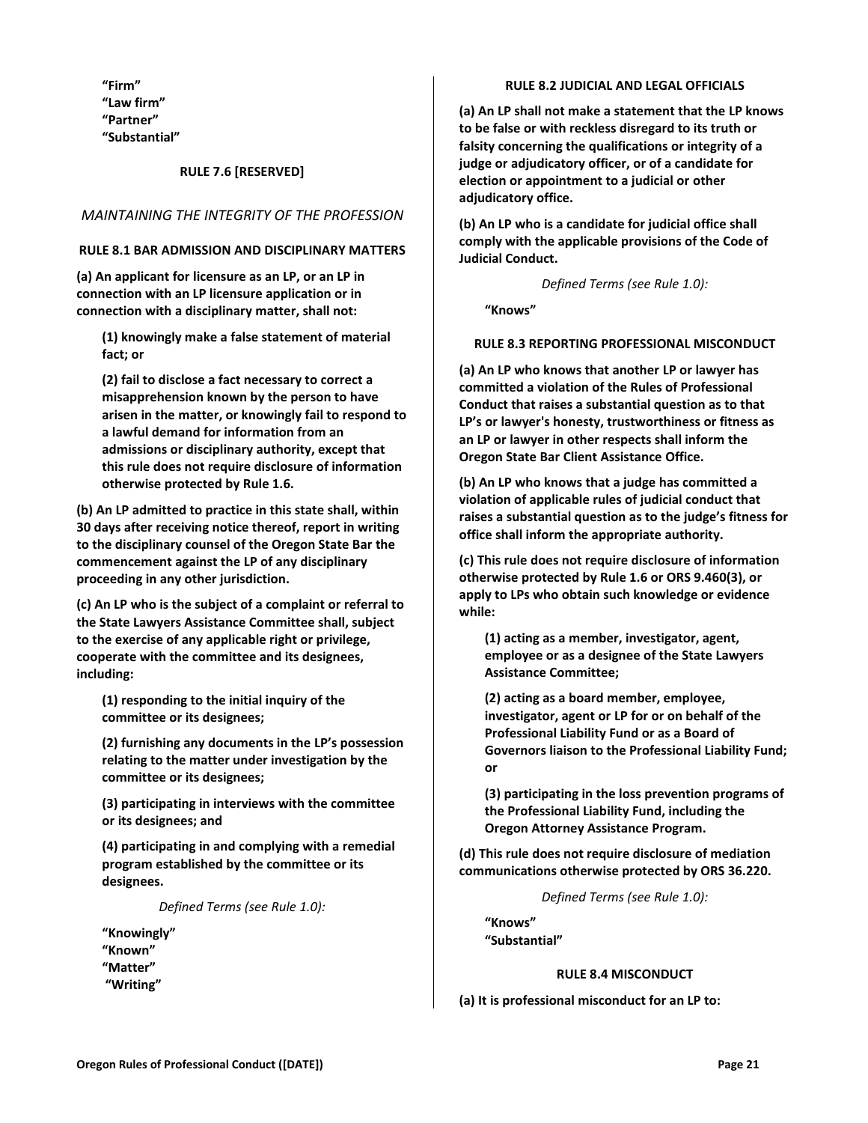**"Firm" "Law firm" "Partner" "Substantial"**

### **RULE 7.6 [RESERVED]**

# <span id="page-20-2"></span><span id="page-20-1"></span><span id="page-20-0"></span>*MAINTAINING THE INTEGRITY OF THE PROFESSION*

#### **RULE 8.1 BAR ADMISSION AND DISCIPLINARY MATTERS**

**(a) An applicant for licensure as an LP, or an LP in connection with an LP licensure application or in connection with a disciplinary matter, shall not:**

**(1) knowingly make a false statement of material fact; or**

**(2) fail to disclose a fact necessary to correct a misapprehension known by the person to have arisen in the matter, or knowingly fail to respond to a lawful demand for information from an admissions or disciplinary authority, except that this rule does not require disclosure of information otherwise protected by Rule 1.6.**

**(b) An LP admitted to practice in this state shall, within 30 days after receiving notice thereof, report in writing to the disciplinary counsel of the Oregon State Bar the commencement against the LP of any disciplinary proceeding in any other jurisdiction.**

**(c) An LP who is the subject of a complaint or referral to the State Lawyers Assistance Committee shall, subject to the exercise of any applicable right or privilege, cooperate with the committee and its designees, including:**

**(1) responding to the initial inquiry of the committee or its designees;**

**(2) furnishing any documents in the LP's possession relating to the matter under investigation by the committee or its designees;**

**(3) participating in interviews with the committee or its designees; and**

**(4) participating in and complying with a remedial program established by the committee or its designees.**

*Defined Terms (see Rule 1.0):*

**"Knowingly" "Known" "Matter" "Writing"**

#### **RULE 8.2 JUDICIAL AND LEGAL OFFICIALS**

<span id="page-20-3"></span>**(a) An LP shall not make a statement that the LP knows to be false or with reckless disregard to its truth or falsity concerning the qualifications or integrity of a judge or adjudicatory officer, or of a candidate for election or appointment to a judicial or other adjudicatory office.**

**(b) An LP who is a candidate for judicial office shall comply with the applicable provisions of the Code of Judicial Conduct.**

*Defined Terms (see Rule 1.0):*

**"Knows"**

#### <span id="page-20-4"></span>**RULE 8.3 REPORTING PROFESSIONAL MISCONDUCT**

**(a) An LP who knows that another LP or lawyer has committed a violation of the Rules of Professional Conduct that raises a substantial question as to that LP's or lawyer's honesty, trustworthiness or fitness as an LP or lawyer in other respects shall inform the Oregon State Bar Client Assistance Office.** 

**(b) An LP who knows that a judge has committed a violation of applicable rules of judicial conduct that raises a substantial question as to the judge's fitness for office shall inform the appropriate authority.**

**(c) This rule does not require disclosure of information otherwise protected by Rule 1.6 or ORS 9.460(3), or apply to LPs who obtain such knowledge or evidence while:**

**(1) acting as a member, investigator, agent, employee or as a designee of the State Lawyers Assistance Committee;** 

**(2) acting as a board member, employee, investigator, agent or LP for or on behalf of the Professional Liability Fund or as a Board of Governors liaison to the Professional Liability Fund; or**

**(3) participating in the loss prevention programs of the Professional Liability Fund, including the Oregon Attorney Assistance Program.**

**(d) This rule does not require disclosure of mediation communications otherwise protected by ORS 36.220.**

*Defined Terms (see Rule 1.0):*

<span id="page-20-5"></span>**"Knows" "Substantial"**

# **RULE 8.4 MISCONDUCT**

**(a) It is professional misconduct for an LP to:**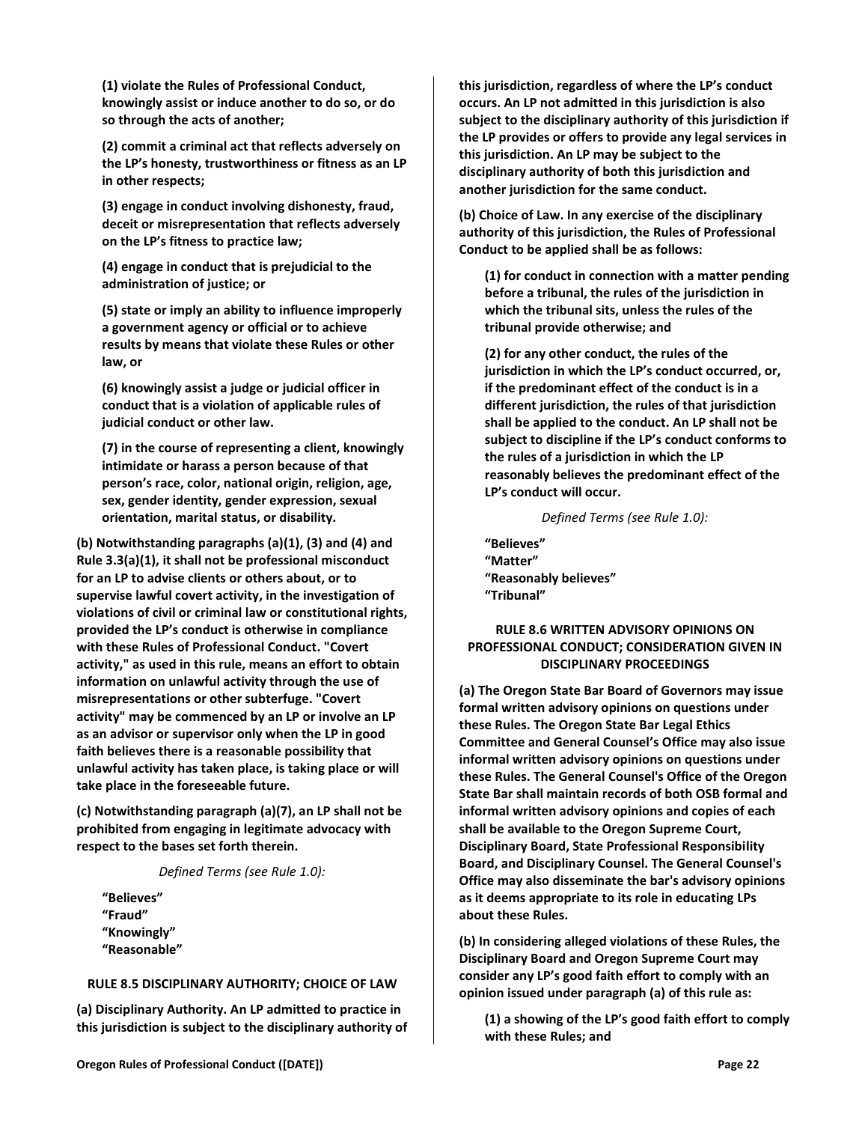**(1) violate the Rules of Professional Conduct, knowingly assist or induce another to do so, or do so through the acts of another;**

**(2) commit a criminal act that reflects adversely on the LP's honesty, trustworthiness or fitness as an LP in other respects;**

**(3) engage in conduct involving dishonesty, fraud, deceit or misrepresentation that reflects adversely on the LP's fitness to practice law;**

**(4) engage in conduct that is prejudicial to the administration of justice; or**

**(5) state or imply an ability to influence improperly a government agency or official or to achieve results by means that violate these Rules or other law, or**

**(6) knowingly assist a judge or judicial officer in conduct that is a violation of applicable rules of judicial conduct or other law.**

**(7) in the course of representing a client, knowingly intimidate or harass a person because of that person's race, color, national origin, religion, age, sex, gender identity, gender expression, sexual orientation, marital status, or disability.**

**(b) Notwithstanding paragraphs (a)(1), (3) and (4) and Rule 3.3(a)(1), it shall not be professional misconduct for an LP to advise clients or others about, or to supervise lawful covert activity, in the investigation of violations of civil or criminal law or constitutional rights, provided the LP's conduct is otherwise in compliance with these Rules of Professional Conduct. "Covert activity," as used in this rule, means an effort to obtain information on unlawful activity through the use of misrepresentations or other subterfuge. "Covert activity" may be commenced by an LP or involve an LP as an advisor or supervisor only when the LP in good faith believes there is a reasonable possibility that unlawful activity has taken place, is taking place or will take place in the foreseeable future.**

**(c) Notwithstanding paragraph (a)(7), an LP shall not be prohibited from engaging in legitimate advocacy with respect to the bases set forth therein.**

### *Defined Terms (see Rule 1.0):*

**"Believes" "Fraud" "Knowingly" "Reasonable"**

#### <span id="page-21-0"></span>**RULE 8.5 DISCIPLINARY AUTHORITY; CHOICE OF LAW**

**(a) Disciplinary Authority. An LP admitted to practice in this jurisdiction is subject to the disciplinary authority of**  **this jurisdiction, regardless of where the LP's conduct occurs. An LP not admitted in this jurisdiction is also subject to the disciplinary authority of this jurisdiction if the LP provides or offers to provide any legal services in this jurisdiction. An LP may be subject to the disciplinary authority of both this jurisdiction and another jurisdiction for the same conduct.**

**(b) Choice of Law. In any exercise of the disciplinary authority of this jurisdiction, the Rules of Professional Conduct to be applied shall be as follows:**

**(1) for conduct in connection with a matter pending before a tribunal, the rules of the jurisdiction in which the tribunal sits, unless the rules of the tribunal provide otherwise; and**

**(2) for any other conduct, the rules of the jurisdiction in which the LP's conduct occurred, or, if the predominant effect of the conduct is in a different jurisdiction, the rules of that jurisdiction shall be applied to the conduct. An LP shall not be subject to discipline if the LP's conduct conforms to the rules of a jurisdiction in which the LP reasonably believes the predominant effect of the LP's conduct will occur.**

#### *Defined Terms (see Rule 1.0):*

**"Believes" "Matter" "Reasonably believes" "Tribunal"**

# <span id="page-21-1"></span>**RULE 8.6 WRITTEN ADVISORY OPINIONS ON PROFESSIONAL CONDUCT; CONSIDERATION GIVEN IN DISCIPLINARY PROCEEDINGS**

**(a) The Oregon State Bar Board of Governors may issue formal written advisory opinions on questions under these Rules. The Oregon State Bar Legal Ethics Committee and General Counsel's Office may also issue informal written advisory opinions on questions under these Rules. The General Counsel's Office of the Oregon State Bar shall maintain records of both OSB formal and informal written advisory opinions and copies of each shall be available to the Oregon Supreme Court, Disciplinary Board, State Professional Responsibility Board, and Disciplinary Counsel. The General Counsel's Office may also disseminate the bar's advisory opinions as it deems appropriate to its role in educating LPs about these Rules.**

**(b) In considering alleged violations of these Rules, the Disciplinary Board and Oregon Supreme Court may consider any LP's good faith effort to comply with an opinion issued under paragraph (a) of this rule as:**

**(1) a showing of the LP's good faith effort to comply with these Rules; and**